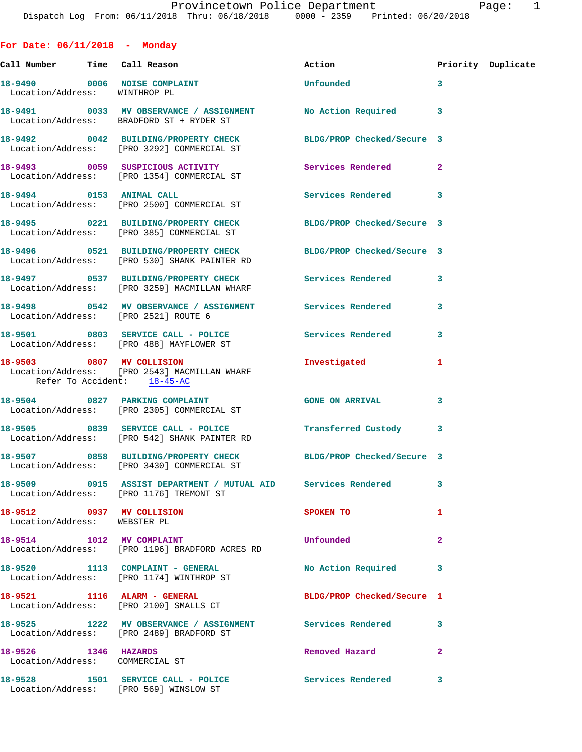**For Date: 06/11/2018 - Monday** Call Number Time Call Reason **Reason Action Action** Priority Duplicate **18-9490 0006 NOISE COMPLAINT Unfounded 3**  Location/Address: WINTHROP PL **18-9491 0033 MV OBSERVANCE / ASSIGNMENT No Action Required 3**  Location/Address: BRADFORD ST + RYDER ST **18-9492 0042 BUILDING/PROPERTY CHECK BLDG/PROP Checked/Secure 3**  Location/Address: [PRO 3292] COMMERCIAL ST **18-9493 0059 SUSPICIOUS ACTIVITY Services Rendered 2**  Location/Address: [PRO 1354] COMMERCIAL ST **18-9494 0153 ANIMAL CALL Services Rendered 3**  Location/Address: [PRO 2500] COMMERCIAL ST **18-9495 0221 BUILDING/PROPERTY CHECK BLDG/PROP Checked/Secure 3**  Location/Address: [PRO 385] COMMERCIAL ST **18-9496 0521 BUILDING/PROPERTY CHECK BLDG/PROP Checked/Secure 3**  Location/Address: [PRO 530] SHANK PAINTER RD 18-9497 **0537 BUILDING/PROPERTY CHECK** Services Rendered 3 Location/Address: [PRO 3259] MACMILLAN WHARF **18-9498 0542 MV OBSERVANCE / ASSIGNMENT Services Rendered 3**  Location/Address: [PRO 2521] ROUTE 6 18-9501 0803 SERVICE CALL - POLICE 3 Services Rendered 3 Location/Address: [PRO 488] MAYFLOWER ST **18-9503 0807 MV COLLISION Investigated 1**  Location/Address: [PRO 2543] MACMILLAN WHARF Refer To Accident: 18-45-AC **18-9504 0827 PARKING COMPLAINT GONE ON ARRIVAL 3**  Location/Address: [PRO 2305] COMMERCIAL ST **18-9505 0839 SERVICE CALL - POLICE Transferred Custody 3**  Location/Address: [PRO 542] SHANK PAINTER RD **18-9507 0858 BUILDING/PROPERTY CHECK BLDG/PROP Checked/Secure 3**  Location/Address: [PRO 3430] COMMERCIAL ST **18-9509 0915 ASSIST DEPARTMENT / MUTUAL AID Services Rendered 3**  Location/Address: [PRO 1176] TREMONT ST **18-9512** 0937 MV COLLISION SPOKEN TO 1 Location/Address: WEBSTER PL **18-9514 1012 MV COMPLAINT Unfounded 2**  Location/Address: [PRO 1196] BRADFORD ACRES RD **18-9520 1113 COMPLAINT - GENERAL No Action Required 3**  Location/Address: [PRO 1174] WINTHROP ST **18-9521 1116 ALARM - GENERAL BLDG/PROP Checked/Secure 1**  Location/Address: [PRO 2100] SMALLS CT **18-9525 1222 MV OBSERVANCE / ASSIGNMENT Services Rendered 3**  Location/Address: [PRO 2489] BRADFORD ST

**18-9526 1346 HAZARDS Removed Hazard 2**  Location/Address: COMMERCIAL ST

**18-9528 1501 SERVICE CALL - POLICE Services Rendered 3** 

Location/Address: [PRO 569] WINSLOW ST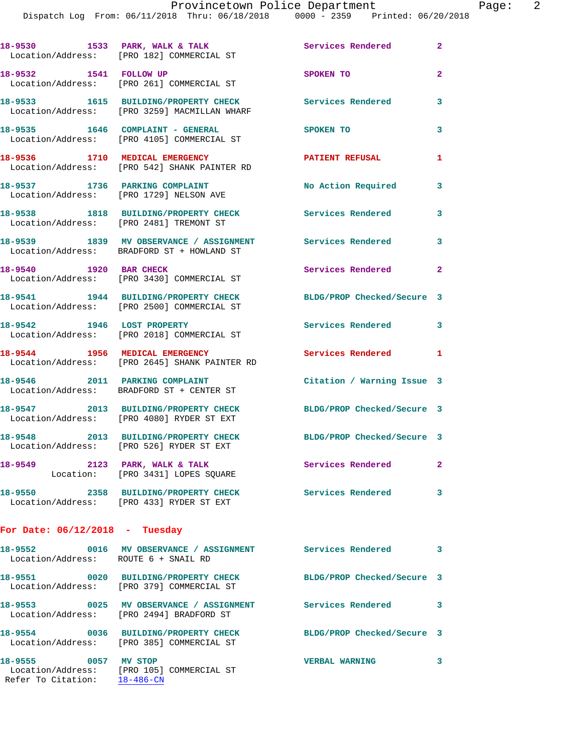|                                      | 18-9530 1533 PARK, WALK & TALK<br>Location/Address: [PRO 182] COMMERCIAL ST                             | <b>Services Rendered</b> 2 |                         |
|--------------------------------------|---------------------------------------------------------------------------------------------------------|----------------------------|-------------------------|
| 18-9532 1541 FOLLOW UP               | Location/Address: [PRO 261] COMMERCIAL ST                                                               | SPOKEN TO                  | $\overline{2}$          |
|                                      | 18-9533 1615 BUILDING/PROPERTY CHECK<br>Location/Address: [PRO 3259] MACMILLAN WHARF                    | <b>Services Rendered</b>   | 3                       |
|                                      | 18-9535 1646 COMPLAINT - GENERAL<br>Location/Address: [PRO 4105] COMMERCIAL ST                          | SPOKEN TO                  | 3                       |
| 18-9536 1710 MEDICAL EMERGENCY       | Location/Address: [PRO 542] SHANK PAINTER RD                                                            | <b>PATIENT REFUSAL</b>     | 1                       |
|                                      | 18-9537 1736 PARKING COMPLAINT<br>Location/Address: [PRO 1729] NELSON AVE                               | No Action Required         | 3                       |
|                                      | 18-9538 1818 BUILDING/PROPERTY CHECK<br>Location/Address: [PRO 2481] TREMONT ST                         | <b>Services Rendered</b>   | 3                       |
|                                      | 18-9539 1839 MV OBSERVANCE / ASSIGNMENT Services Rendered<br>Location/Address: BRADFORD ST + HOWLAND ST |                            | 3                       |
| 18-9540 1920 BAR CHECK               | Location/Address: [PRO 3430] COMMERCIAL ST                                                              | Services Rendered          | $\mathbf{2}$            |
|                                      | 18-9541 1944 BUILDING/PROPERTY CHECK<br>Location/Address: [PRO 2500] COMMERCIAL ST                      | BLDG/PROP Checked/Secure 3 |                         |
|                                      | 18-9542 1946 LOST PROPERTY<br>Location/Address: [PRO 2018] COMMERCIAL ST                                | Services Rendered 3        |                         |
| 18-9544 1956 MEDICAL EMERGENCY       | Location/Address: [PRO 2645] SHANK PAINTER RD                                                           | Services Rendered 1        |                         |
|                                      | 18-9546 2011 PARKING COMPLAINT<br>Location/Address: BRADFORD ST + CENTER ST                             | Citation / Warning Issue 3 |                         |
|                                      | 18-9547 2013 BUILDING/PROPERTY CHECK<br>Location/Address: [PRO 4080] RYDER ST EXT                       | BLDG/PROP Checked/Secure 3 |                         |
|                                      | 18-9548 2013 BUILDING/PROPERTY CHECK<br>Location/Address: [PRO 526] RYDER ST EXT                        | BLDG/PROP Checked/Secure 3 |                         |
|                                      | 18-9549 2123 PARK, WALK & TALK<br>Location: [PRO 3431] LOPES SQUARE                                     | Services Rendered          | $\mathbf{2}$            |
|                                      | 18-9550 2358 BUILDING/PROPERTY CHECK<br>Location/Address: [PRO 433] RYDER ST EXT                        | <b>Services Rendered</b>   | 3                       |
| For Date: $06/12/2018$ - Tuesday     |                                                                                                         |                            |                         |
| Location/Address: ROUTE 6 + SNAIL RD | 18-9552                0016     MV OBSERVANCE  / ASSIGNMENT                 Services Rendered           |                            | $\overline{\mathbf{3}}$ |
|                                      | 18-9551 0020 BUILDING/PROPERTY CHECK<br>Location/Address: [PRO 379] COMMERCIAL ST                       | BLDG/PROP Checked/Secure 3 |                         |
|                                      | 18-9553 0025 MV OBSERVANCE / ASSIGNMENT                                                                 | Services Rendered 3        |                         |

 Location/Address: [PRO 2494] BRADFORD ST **18-9554 0036 BUILDING/PROPERTY CHECK BLDG/PROP Checked/Secure 3**  Location/Address: [PRO 385] COMMERCIAL ST **18-9555 0057 MV STOP VERBAL WARNING 3**  Location/Address: [PRO 105] COMMERCIAL ST

Refer To Citation: 18-486-CN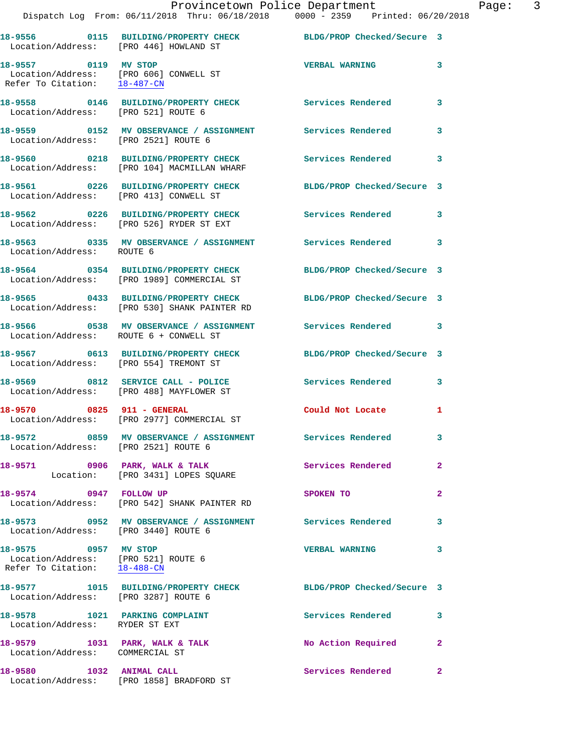| Location/Address: [PRO 446] HOWLAND ST                                                                      | 18-9556 0115 BUILDING/PROPERTY CHECK                                                              | BLDG/PROP Checked/Secure 3 |                         |
|-------------------------------------------------------------------------------------------------------------|---------------------------------------------------------------------------------------------------|----------------------------|-------------------------|
| 18-9557 0119 MV STOP<br>Location/Address: [PRO 606] CONWELL ST<br>Refer To Citation: $\frac{18-487-CN}{\ }$ |                                                                                                   | <b>VERBAL WARNING</b>      | 3                       |
| Location/Address: [PRO 521] ROUTE 6                                                                         | 18-9558 0146 BUILDING/PROPERTY CHECK                                                              | Services Rendered          | 3                       |
| Location/Address: [PRO 2521] ROUTE 6                                                                        | 18-9559 0152 MV OBSERVANCE / ASSIGNMENT Services Rendered                                         |                            | 3                       |
|                                                                                                             | 18-9560 0218 BUILDING/PROPERTY CHECK<br>Location/Address: [PRO 104] MACMILLAN WHARF               | <b>Services Rendered</b>   | 3                       |
| Location/Address: [PRO 413] CONWELL ST                                                                      | 18-9561 0226 BUILDING/PROPERTY CHECK                                                              | BLDG/PROP Checked/Secure 3 |                         |
|                                                                                                             | 18-9562 0226 BUILDING/PROPERTY CHECK<br>Location/Address: [PRO 526] RYDER ST EXT                  | Services Rendered          | 3                       |
| Location/Address: ROUTE 6                                                                                   | 18-9563 0335 MV OBSERVANCE / ASSIGNMENT                                                           | Services Rendered          | 3                       |
|                                                                                                             | 18-9564 0354 BUILDING/PROPERTY CHECK<br>Location/Address: [PRO 1989] COMMERCIAL ST                | BLDG/PROP Checked/Secure 3 |                         |
|                                                                                                             | 18-9565 0433 BUILDING/PROPERTY CHECK<br>Location/Address: [PRO 530] SHANK PAINTER RD              | BLDG/PROP Checked/Secure 3 |                         |
| Location/Address: ROUTE 6 + CONWELL ST                                                                      | 18-9566 0538 MV OBSERVANCE / ASSIGNMENT                                                           | Services Rendered 3        |                         |
| Location/Address: [PRO 554] TREMONT ST                                                                      | 18-9567 0613 BUILDING/PROPERTY CHECK                                                              | BLDG/PROP Checked/Secure 3 |                         |
|                                                                                                             | 18-9569 0812 SERVICE CALL - POLICE<br>Location/Address: [PRO 488] MAYFLOWER ST                    | Services Rendered          | 3                       |
|                                                                                                             | 18-9570 0825 911 - GENERAL<br>Location/Address: [PRO 2977] COMMERCIAL ST                          | Could Not Locate           | 1                       |
|                                                                                                             | 18-9572 0859 MV OBSERVANCE / ASSIGNMENT Services Rendered<br>Location/Address: [PRO 2521] ROUTE 6 |                            | 3                       |
|                                                                                                             | 18-9571 0906 PARK, WALK & TALK<br>Location: [PRO 3431] LOPES SQUARE                               | Services Rendered          | $\mathbf{2}$            |
| 18-9574 0947 FOLLOW UP                                                                                      | Location/Address: [PRO 542] SHANK PAINTER RD                                                      | SPOKEN TO                  | $\overline{2}$          |
| Location/Address: [PRO 3440] ROUTE 6                                                                        | 18-9573 0952 MV OBSERVANCE / ASSIGNMENT Services Rendered                                         |                            | 3                       |
| 18-9575 0957 MV STOP<br>Location/Address: [PRO 521] ROUTE 6<br>Refer To Citation: 18-488-CN                 |                                                                                                   | <b>VERBAL WARNING</b>      | $\overline{\mathbf{3}}$ |
| Location/Address: [PRO 3287] ROUTE 6                                                                        | 18-9577 1015 BUILDING/PROPERTY CHECK BLDG/PROP Checked/Secure 3                                   |                            |                         |
| 18-9578 1021 PARKING COMPLAINT<br>Location/Address: RYDER ST EXT                                            |                                                                                                   | Services Rendered 3        |                         |
| 18-9579 1031 PARK, WALK & TALK<br>Location/Address: COMMERCIAL ST                                           |                                                                                                   | No Action Required 2       |                         |
| 18-9580 1032 ANIMAL CALL                                                                                    | Location/Address: [PRO 1858] BRADFORD ST                                                          | Services Rendered 2        |                         |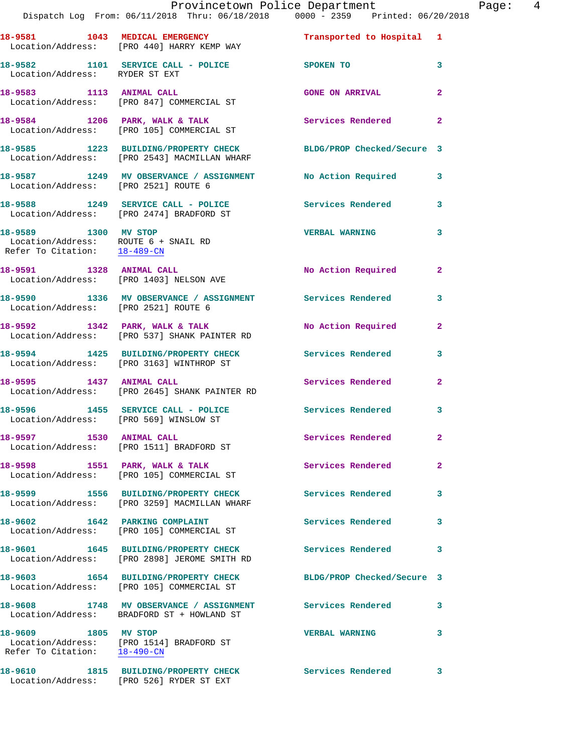|                                                      | Provincetown Police Department The Rage: 4<br>Dispatch Log From: 06/11/2018 Thru: 06/18/2018  0000 - 2359  Printed: 06/20/2018 |                            |              |  |
|------------------------------------------------------|--------------------------------------------------------------------------------------------------------------------------------|----------------------------|--------------|--|
|                                                      | 18-9581 1043 MEDICAL EMERGENCY 1 Transported to Hospital 1<br>Location/Address: [PRO 440] HARRY KEMP WAY                       |                            |              |  |
| Location/Address: RYDER ST EXT                       | 18-9582 1101 SERVICE CALL - POLICE SPOKEN TO 3                                                                                 |                            |              |  |
|                                                      | 18-9583 1113 ANIMAL CALL<br>Location/Address: [PRO 847] COMMERCIAL ST                                                          | <b>GONE ON ARRIVAL</b>     | $\mathbf{2}$ |  |
|                                                      | 18-9584 1206 PARK, WALK & TALK 1999 Services Rendered Election/Address: [PRO 105] COMMERCIAL ST                                |                            | $\mathbf{2}$ |  |
|                                                      | 18-9585 1223 BUILDING/PROPERTY CHECK BLDG/PROP Checked/Secure 3<br>Location/Address: [PRO 2543] MACMILLAN WHARF                |                            |              |  |
|                                                      | 18-9587 1249 MV OBSERVANCE / ASSIGNMENT No Action Required 3<br>Location/Address: [PRO 2521] ROUTE 6                           |                            |              |  |
|                                                      | 18-9588 1249 SERVICE CALL - POLICE 3 Services Rendered 3<br>Location/Address: [PRO 2474] BRADFORD ST                           |                            |              |  |
| Refer To Citation: 18-489-CN                         | 18-9589 1300 MV STOP<br>Location/Address: ROUTE 6 + SNAIL RD                                                                   | <b>VERBAL WARNING</b>      | 3            |  |
|                                                      | 18-9591 1328 ANIMAL CALL<br>Location/Address: [PRO 1403] NELSON AVE                                                            | No Action Required 2       |              |  |
|                                                      | 18-9590 1336 MV OBSERVANCE / ASSIGNMENT Services Rendered<br>Location/Address: [PRO 2521] ROUTE 6                              |                            | 3            |  |
|                                                      | 18-9592 1342 PARK, WALK & TALK 1988 No Action Required<br>Location/Address: [PRO 537] SHANK PAINTER RD                         |                            | $\mathbf{2}$ |  |
|                                                      |                                                                                                                                |                            | 3            |  |
|                                                      |                                                                                                                                | Services Rendered          | $\mathbf{2}$ |  |
|                                                      | 18-9596 1455 SERVICE CALL - POLICE 3 Services Rendered<br>Location/Address: [PRO 569] WINSLOW ST                               |                            | 3            |  |
|                                                      | 18-9597 1530 ANIMAL CALL<br>Location/Address: [PRO 1511] BRADFORD ST                                                           | Services Rendered          | $\mathbf{2}$ |  |
|                                                      | 18-9598 1551 PARK, WALK & TALK<br>Location/Address: [PRO 105] COMMERCIAL ST                                                    | <b>Services Rendered</b>   | $\mathbf{2}$ |  |
|                                                      | 18-9599 1556 BUILDING/PROPERTY CHECK Services Rendered<br>Location/Address: [PRO 3259] MACMILLAN WHARF                         |                            | 3            |  |
|                                                      | 18-9602 1642 PARKING COMPLAINT<br>Location/Address: [PRO 105] COMMERCIAL ST                                                    | <b>Services Rendered</b>   | 3            |  |
|                                                      | 18-9601 1645 BUILDING/PROPERTY CHECK Services Rendered<br>Location/Address: [PRO 2898] JEROME SMITH RD                         |                            | 3            |  |
|                                                      | 18-9603 1654 BUILDING/PROPERTY CHECK<br>Location/Address: [PRO 105] COMMERCIAL ST                                              | BLDG/PROP Checked/Secure 3 |              |  |
|                                                      | 18-9608 1748 MV OBSERVANCE / ASSIGNMENT Services Rendered<br>Location/Address: BRADFORD ST + HOWLAND ST                        |                            | 3            |  |
| 18-9609 1805 MV STOP<br>Refer To Citation: 18-490-CN | Location/Address: [PRO 1514] BRADFORD ST                                                                                       | <b>VERBAL WARNING</b>      | 3            |  |
|                                                      | 18-9610 1815 BUILDING/PROPERTY CHECK Services Rendered 3                                                                       |                            |              |  |

Location/Address: [PRO 526] RYDER ST EXT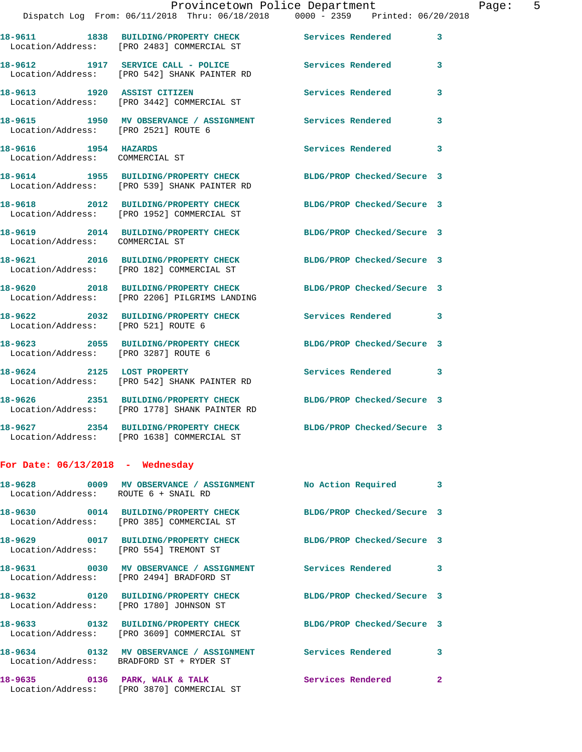|                                                                                 | Dispatch Log From: 06/11/2018 Thru: 06/18/2018 0000 - 2359 Printed: 06/20/2018                                                   | Provincetown Police Department | Page: 5 |
|---------------------------------------------------------------------------------|----------------------------------------------------------------------------------------------------------------------------------|--------------------------------|---------|
|                                                                                 | 18-9611 1838 BUILDING/PROPERTY CHECK Services Rendered 3<br>Location/Address: [PRO 2483] COMMERCIAL ST                           |                                |         |
|                                                                                 | 18-9612 1917 SERVICE CALL - POLICE 3 Services Rendered 3<br>Location/Address: [PRO 542] SHANK PAINTER RD                         |                                |         |
|                                                                                 | 18-9613 1920 ASSIST CITIZEN<br>Location/Address: [PRO 3442] COMMERCIAL ST                                                        | Services Rendered              | 3       |
|                                                                                 | 18-9615           1950    MV OBSERVANCE / ASSIGNMENT               Services Rendered<br>Location/Address:     [PRO 2521] ROUTE 6 |                                | 3       |
| 18-9616                 1954     HAZARDS<br>Location/Address:     COMMERCIAL ST |                                                                                                                                  | Services Rendered 3            |         |
|                                                                                 | 18-9614 1955 BUILDING/PROPERTY CHECK BLDG/PROP Checked/Secure 3<br>Location/Address: [PRO 539] SHANK PAINTER RD                  |                                |         |
|                                                                                 | 18-9618 2012 BUILDING/PROPERTY CHECK BLDG/PROP Checked/Secure 3<br>Location/Address: [PRO 1952] COMMERCIAL ST                    |                                |         |
| Location/Address: COMMERCIAL ST                                                 | 18-9619 2014 BUILDING/PROPERTY CHECK BLDG/PROP Checked/Secure 3                                                                  |                                |         |
|                                                                                 | 18-9621 2016 BUILDING/PROPERTY CHECK BLDG/PROP Checked/Secure 3<br>Location/Address: [PRO 182] COMMERCIAL ST                     |                                |         |
|                                                                                 | 18-9620 2018 BUILDING/PROPERTY CHECK BLDG/PROP Checked/Secure 3<br>Location/Address: [PRO 2206] PILGRIMS LANDING                 |                                |         |
| Location/Address: [PRO 521] ROUTE 6                                             | 18-9622 2032 BUILDING/PROPERTY CHECK Services Rendered 3                                                                         |                                |         |
| Location/Address: [PRO 3287] ROUTE 6                                            | 18-9623 2055 BUILDING/PROPERTY CHECK BLDG/PROP Checked/Secure 3                                                                  |                                |         |
|                                                                                 | 18-9624 2125 LOST PROPERTY<br>Location/Address: [PRO 542] SHANK PAINTER RD                                                       | Services Rendered 3            |         |
|                                                                                 | 18-9626<br>18-9626 2351 BUILDING/PROPERTY CHECK BLDG/PROP Checked/Secure 3<br>Location/Address: [PRO 1778] SHANK PAINTER RD      |                                |         |
|                                                                                 | 18-9627 2354 BUILDING/PROPERTY CHECK<br>Location/Address: [PRO 1638] COMMERCIAL ST                                               | BLDG/PROP Checked/Secure 3     |         |
| For Date: $06/13/2018$ - Wednesday                                              |                                                                                                                                  |                                |         |
| Location/Address: ROUTE 6 + SNAIL RD                                            | 18-9628 6009 MV OBSERVANCE / ASSIGNMENT No Action Required 3                                                                     |                                |         |
|                                                                                 | 18-9630 0014 BUILDING/PROPERTY CHECK BLDG/PROP Checked/Secure 3<br>Location/Address: [PRO 385] COMMERCIAL ST                     |                                |         |
| Location/Address: [PRO 554] TREMONT ST                                          | 18-9629 0017 BUILDING/PROPERTY CHECK BLDG/PROP Checked/Secure 3                                                                  |                                |         |
|                                                                                 | 18-9631 0030 MV OBSERVANCE / ASSIGNMENT Services Rendered 3<br>Location/Address: [PRO 2494] BRADFORD ST                          |                                |         |
|                                                                                 | 18-9632 0120 BUILDING/PROPERTY CHECK BLDG/PROP Checked/Secure 3<br>Location/Address: [PRO 1780] JOHNSON ST                       |                                |         |
|                                                                                 | 18-9633 0132 BUILDING/PROPERTY CHECK<br>Location/Address: [PRO 3609] COMMERCIAL ST                                               | BLDG/PROP Checked/Secure 3     |         |
|                                                                                 | 18-9634 0132 MV OBSERVANCE / ASSIGNMENT Services Rendered 3<br>Location/Address: BRADFORD ST + RYDER ST                          |                                |         |
|                                                                                 | Location/Address: [PRO 3870] COMMERCIAL ST                                                                                       |                                | -2      |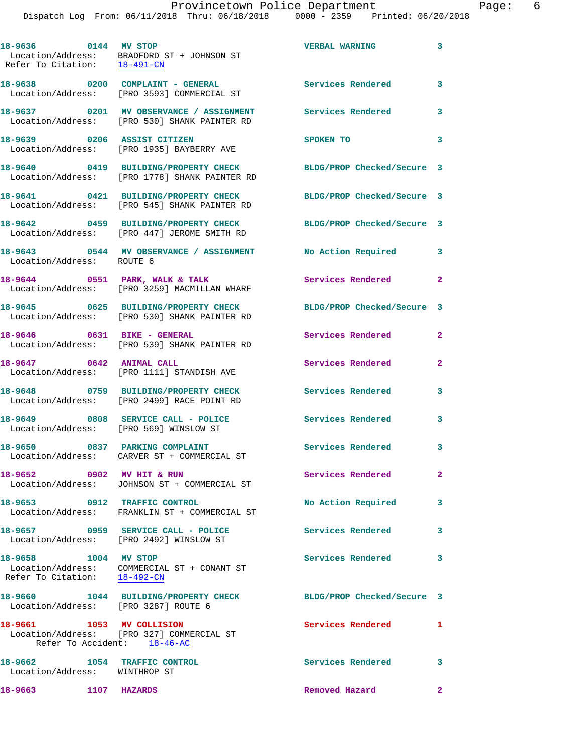Dispatch Log From: 06/11/2018 Thru: 06/18/2018 0000 - 2359 Printed: 06/20/2018

**18-9636 0144 MV STOP VERBAL WARNING 3**  Location/Address: BRADFORD ST + JOHNSON ST Refer To Citation: 18-491-CN **18-9638 0200 COMPLAINT - GENERAL Services Rendered 3**  Location/Address: [PRO 3593] COMMERCIAL ST **18-9637 0201 MV OBSERVANCE / ASSIGNMENT Services Rendered 3**  Location/Address: [PRO 530] SHANK PAINTER RD **18-9639 0206 ASSIST CITIZEN SPOKEN TO 3**  Location/Address: [PRO 1935] BAYBERRY AVE **18-9640 0419 BUILDING/PROPERTY CHECK BLDG/PROP Checked/Secure 3**  Location/Address: [PRO 1778] SHANK PAINTER RD **18-9641 0421 BUILDING/PROPERTY CHECK BLDG/PROP Checked/Secure 3**  Location/Address: [PRO 545] SHANK PAINTER RD **18-9642 0459 BUILDING/PROPERTY CHECK BLDG/PROP Checked/Secure 3**  Location/Address: [PRO 447] JEROME SMITH RD **18-9643 0544 MV OBSERVANCE / ASSIGNMENT No Action Required 3**  Location/Address: ROUTE 6 18-9644 0551 PARK, WALK & TALK **Services Rendered** 2 Location/Address: [PRO 3259] MACMILLAN WHARF **18-9645 0625 BUILDING/PROPERTY CHECK BLDG/PROP Checked/Secure 3**  Location/Address: [PRO 530] SHANK PAINTER RD **18-9646 0631 BIKE - GENERAL Services Rendered 2**  Location/Address: [PRO 539] SHANK PAINTER RD **18-9647 0642 ANIMAL CALL Services Rendered 2**  Location/Address: [PRO 1111] STANDISH AVE **18-9648 0759 BUILDING/PROPERTY CHECK Services Rendered 3**  Location/Address: [PRO 2499] RACE POINT RD **18-9649 0808 SERVICE CALL - POLICE Services Rendered 3**  Location/Address: [PRO 569] WINSLOW ST **18-9650 0837 PARKING COMPLAINT Services Rendered 3**  Location/Address: CARVER ST + COMMERCIAL ST **18-9652 0902 MV HIT & RUN Services Rendered 2**  Location/Address: JOHNSON ST + COMMERCIAL ST **18-9653 0912 TRAFFIC CONTROL No Action Required 3**  Location/Address: FRANKLIN ST + COMMERCIAL ST **18-9657 0959 SERVICE CALL - POLICE Services Rendered 3**  Location/Address: [PRO 2492] WINSLOW ST **18-9658 1004 MV STOP Services Rendered 3**  Location/Address: COMMERCIAL ST + CONANT ST Refer To Citation: 18-492-CN **18-9660 1044 BUILDING/PROPERTY CHECK BLDG/PROP Checked/Secure 3**  Location/Address: [PRO 3287] ROUTE 6 **18-9661 1053 MV COLLISION Services Rendered 1**  Location/Address: [PRO 327] COMMERCIAL ST Refer To Accident: 18-46-AC **18-9662 1054 TRAFFIC CONTROL Services Rendered 3**  Location/Address: WINTHROP ST **18-9663 1107 HAZARDS Removed Hazard 2**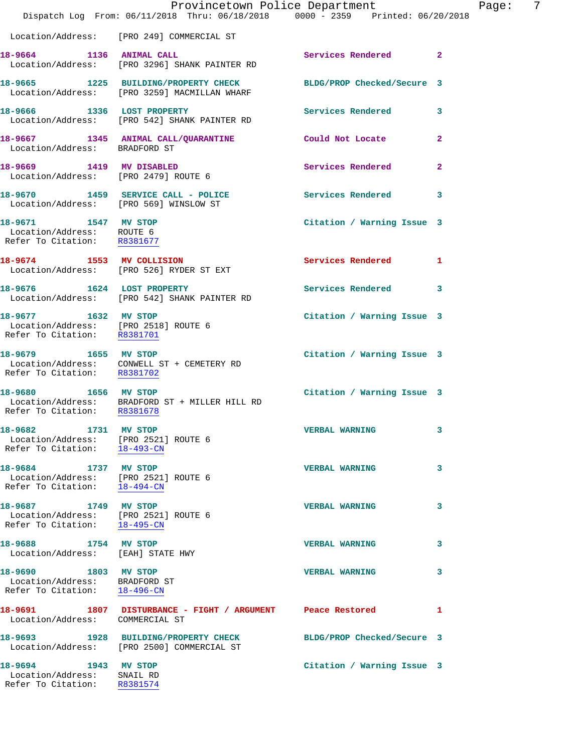|                                                                                                 | Dispatch Log From: 06/11/2018 Thru: 06/18/2018 0000 - 2359 Printed: 06/20/2018       | Provincetown Police Department | Page: 7      |
|-------------------------------------------------------------------------------------------------|--------------------------------------------------------------------------------------|--------------------------------|--------------|
|                                                                                                 | Location/Address: [PRO 249] COMMERCIAL ST                                            |                                |              |
| 18-9664 1136 ANIMAL CALL                                                                        | Location/Address: [PRO 3296] SHANK PAINTER RD                                        | Services Rendered 2            |              |
|                                                                                                 | 18-9665 1225 BUILDING/PROPERTY CHECK<br>Location/Address: [PRO 3259] MACMILLAN WHARF | BLDG/PROP Checked/Secure 3     |              |
| 18-9666 1336 LOST PROPERTY                                                                      | Location/Address: [PRO 542] SHANK PAINTER RD                                         | Services Rendered              | 3            |
| Location/Address: BRADFORD ST                                                                   | 18-9667 1345 ANIMAL CALL/QUARANTINE Could Not Locate                                 |                                | $\mathbf{2}$ |
| 18-9669 1419 MV DISABLED                                                                        | Location/Address: [PRO 2479] ROUTE 6                                                 | Services Rendered              | $\mathbf{2}$ |
|                                                                                                 | 18-9670 1459 SERVICE CALL - POLICE<br>Location/Address: [PRO 569] WINSLOW ST         | <b>Services Rendered</b>       | 3            |
| 18-9671 1547 MV STOP<br>Location/Address: ROUTE 6<br>Refer To Citation: R8381677                |                                                                                      | Citation / Warning Issue 3     |              |
|                                                                                                 | 18-9674 1553 MV COLLISION<br>Location/Address: [PRO 526] RYDER ST EXT                | Services Rendered 1            |              |
|                                                                                                 | 18-9676 1624 LOST PROPERTY<br>Location/Address: [PRO 542] SHANK PAINTER RD           | <b>Services Rendered</b>       | 3            |
| 18-9677 1632 MV STOP<br>Location/Address: [PRO 2518] ROUTE 6<br>Refer To Citation: R8381701     |                                                                                      | Citation / Warning Issue 3     |              |
| Refer To Citation: R8381702                                                                     | 18-9679 1655 MV STOP<br>Location/Address: CONWELL ST + CEMETERY RD                   | Citation / Warning Issue 3     |              |
| 18-9680 1656 MV STOP<br>Refer To Citation: R8381678                                             | Location/Address: BRADFORD ST + MILLER HILL RD                                       | Citation / Warning Issue 3     |              |
| 18-9682<br>1731 MV STOP<br>Location/Address: [PRO 2521] ROUTE 6<br>Refer To Citation: 18-493-CN |                                                                                      | <b>VERBAL WARNING</b>          | 3            |
| 18-9684 1737 MV STOP<br>Location/Address: [PRO 2521] ROUTE 6<br>Refer To Citation: 18-494-CN    |                                                                                      | <b>VERBAL WARNING</b>          | 3            |
| 18-9687 1749 MV STOP<br>Location/Address: [PRO 2521] ROUTE 6<br>Refer To Citation:              | 18-495-CN                                                                            | <b>VERBAL WARNING</b>          | 3            |
| 18-9688 1754 MV STOP<br>Location/Address: [EAH] STATE HWY                                       |                                                                                      | <b>VERBAL WARNING</b>          | 3            |
| 18-9690 1803 MV STOP<br>Location/Address: BRADFORD ST<br>Refer To Citation: 18-496-CN           |                                                                                      | <b>VERBAL WARNING</b>          | 3            |
| Location/Address: COMMERCIAL ST                                                                 |                                                                                      |                                | 1            |
|                                                                                                 | 18-9693 1928 BUILDING/PROPERTY CHECK<br>Location/Address: [PRO 2500] COMMERCIAL ST   | BLDG/PROP Checked/Secure 3     |              |
| 18-9694 1943 MV STOP<br>Location/Address: SNAIL RD<br>Refer To Citation:                        | R8381574                                                                             | Citation / Warning Issue 3     |              |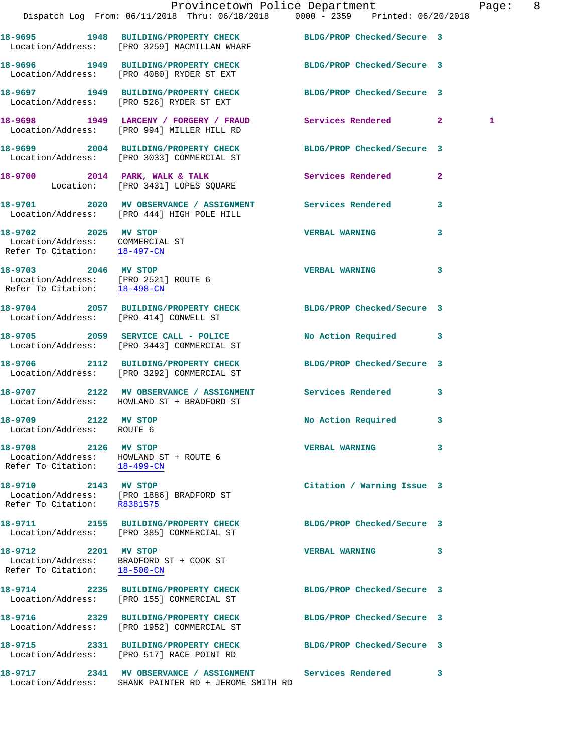|                                                                                              | Dispatch Log From: 06/11/2018 Thru: 06/18/2018 0000 - 2359 Printed: 06/20/2018                                  | Provincetown Police Department |              | Page: 8 |  |
|----------------------------------------------------------------------------------------------|-----------------------------------------------------------------------------------------------------------------|--------------------------------|--------------|---------|--|
|                                                                                              | 18-9695 1948 BUILDING/PROPERTY CHECK BLDG/PROP Checked/Secure 3<br>Location/Address: [PRO 3259] MACMILLAN WHARF |                                |              |         |  |
|                                                                                              | 18-9696 1949 BUILDING/PROPERTY CHECK BLDG/PROP Checked/Secure 3<br>Location/Address: [PRO 4080] RYDER ST EXT    |                                |              |         |  |
|                                                                                              | 18-9697 1949 BUILDING/PROPERTY CHECK<br>Location/Address: [PRO 526] RYDER ST EXT                                | BLDG/PROP Checked/Secure 3     |              |         |  |
|                                                                                              | 18-9698 1949 LARCENY / FORGERY / FRAUD Services Rendered 2<br>Location/Address: [PRO 994] MILLER HILL RD        |                                |              | 1       |  |
|                                                                                              | 18-9699 2004 BUILDING/PROPERTY CHECK<br>Location/Address: [PRO 3033] COMMERCIAL ST                              | BLDG/PROP Checked/Secure 3     |              |         |  |
|                                                                                              | 18-9700 2014 PARK, WALK & TALK<br>Location: [PRO 3431] LOPES SQUARE                                             | Services Rendered              | $\mathbf{2}$ |         |  |
|                                                                                              | 18-9701 2020 MV OBSERVANCE / ASSIGNMENT Services Rendered 3<br>Location/Address: [PRO 444] HIGH POLE HILL       |                                |              |         |  |
| 18-9702 2025 MV STOP<br>Location/Address: COMMERCIAL ST<br>Refer To Citation: 18-497-CM      |                                                                                                                 | <b>VERBAL WARNING</b>          | 3            |         |  |
| 18-9703 2046 MV STOP<br>Location/Address: [PRO 2521] ROUTE 6<br>Refer To Citation: 18-498-CN |                                                                                                                 | VERBAL WARNING 3               |              |         |  |
| Location/Address: [PRO 414] CONWELL ST                                                       | 18-9704 2057 BUILDING/PROPERTY CHECK BLDG/PROP Checked/Secure 3                                                 |                                |              |         |  |
|                                                                                              | 18-9705 2059 SERVICE CALL - POLICE<br>Location/Address: [PRO 3443] COMMERCIAL ST                                | No Action Required 3           |              |         |  |
|                                                                                              | 18-9706 2112 BUILDING/PROPERTY CHECK BLDG/PROP Checked/Secure 3<br>Location/Address: [PRO 3292] COMMERCIAL ST   |                                |              |         |  |
|                                                                                              | 18-9707 2122 MV OBSERVANCE / ASSIGNMENT<br>Location/Address: HOWLAND ST + BRADFORD ST                           | Services Rendered              | $\mathbf{3}$ |         |  |
| 18-9709 2122 MV STOP<br>Location/Address: ROUTE 6                                            |                                                                                                                 | No Action Required 3           |              |         |  |
| 18-9708 2126 MV STOP                                                                         | Location/Address: HOWLAND ST + ROUTE 6<br>Refer To Citation: 18-499-CN                                          | VERBAL WARNING 3               |              |         |  |
| 18-9710 2143 MV STOP<br>Refer To Citation: R8381575                                          | Location/Address: [PRO 1886] BRADFORD ST                                                                        | Citation / Warning Issue 3     |              |         |  |
|                                                                                              | 18-9711 2155 BUILDING/PROPERTY CHECK<br>Location/Address: [PRO 385] COMMERCIAL ST                               | BLDG/PROP Checked/Secure 3     |              |         |  |
| 18-9712 2201 MV STOP<br>Refer To Citation: 18-500-CN                                         | Location/Address: BRADFORD ST + COOK ST                                                                         | VERBAL WARNING 3               |              |         |  |
|                                                                                              | 18-9714 2235 BUILDING/PROPERTY CHECK<br>Location/Address: [PRO 155] COMMERCIAL ST                               | BLDG/PROP Checked/Secure 3     |              |         |  |
|                                                                                              | 18-9716 2329 BUILDING/PROPERTY CHECK<br>Location/Address: [PRO 1952] COMMERCIAL ST                              | BLDG/PROP Checked/Secure 3     |              |         |  |
|                                                                                              | 18-9715 2331 BUILDING/PROPERTY CHECK<br>Location/Address: [PRO 517] RACE POINT RD                               | BLDG/PROP Checked/Secure 3     |              |         |  |
|                                                                                              | 18-9717 2341 MV OBSERVANCE / ASSIGNMENT<br>Location/Address: SHANK PAINTER RD + JEROME SMITH RD                 | Services Rendered              | 3            |         |  |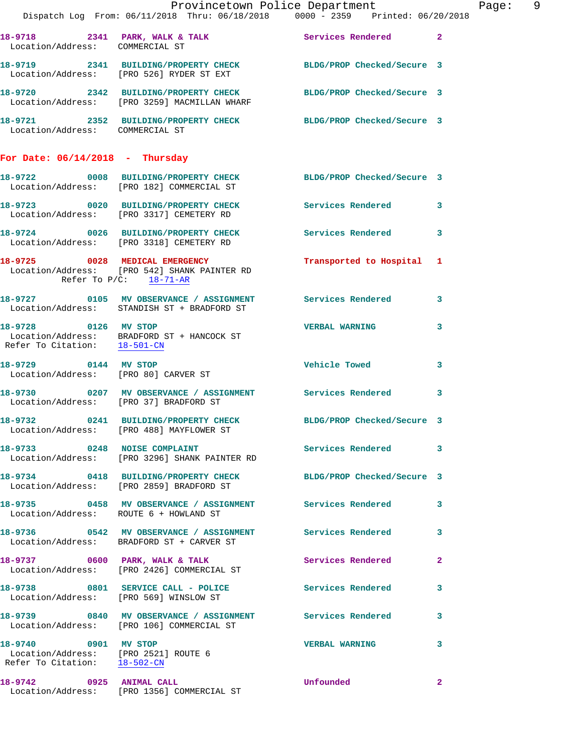|                                                                                              | Provincetown Police Department Page: 9<br>Dispatch Log From: 06/11/2018 Thru: 06/18/2018   0000 - 2359   Printed: 06/20/2018    |                                                                                                                                                                                                                                     |              |
|----------------------------------------------------------------------------------------------|---------------------------------------------------------------------------------------------------------------------------------|-------------------------------------------------------------------------------------------------------------------------------------------------------------------------------------------------------------------------------------|--------------|
| Location/Address: COMMERCIAL ST                                                              | 18-9718 2341 PARK, WALK & TALK 2 Services Rendered 2                                                                            |                                                                                                                                                                                                                                     |              |
|                                                                                              | 18-9719 2341 BUILDING/PROPERTY CHECK BLDG/PROP Checked/Secure 3<br>Location/Address: [PRO 526] RYDER ST EXT                     |                                                                                                                                                                                                                                     |              |
|                                                                                              | 18-9720 2342 BUILDING/PROPERTY CHECK BLDG/PROP Checked/Secure 3<br>Location/Address: [PRO 3259] MACMILLAN WHARF                 |                                                                                                                                                                                                                                     |              |
| Location/Address: COMMERCIAL ST                                                              | 18-9721 2352 BUILDING/PROPERTY CHECK BLDG/PROP Checked/Secure 3                                                                 |                                                                                                                                                                                                                                     |              |
| For Date: $06/14/2018$ - Thursday                                                            |                                                                                                                                 |                                                                                                                                                                                                                                     |              |
|                                                                                              | 18-9722 0008 BUILDING/PROPERTY CHECK BLDG/PROP Checked/Secure 3<br>Location/Address: [PRO 182] COMMERCIAL ST                    |                                                                                                                                                                                                                                     |              |
|                                                                                              | 18-9723 0020 BUILDING/PROPERTY CHECK Services Rendered 3<br>Location/Address: [PRO 3317] CEMETERY RD                            |                                                                                                                                                                                                                                     |              |
|                                                                                              | 18-9724 0026 BUILDING/PROPERTY CHECK Services Rendered 3<br>Location/Address: [PRO 3318] CEMETERY RD                            |                                                                                                                                                                                                                                     |              |
| Refer To $P/C$ : 18-71-AR                                                                    | 18-9725 0028 MEDICAL EMERGENCY<br>Location/Address: [PRO 542] SHANK PAINTER RD                                                  | Transported to Hospital 1                                                                                                                                                                                                           |              |
|                                                                                              | 18-9727 0105 MV OBSERVANCE / ASSIGNMENT Services Rendered 3<br>Location/Address: STANDISH ST + BRADFORD ST                      |                                                                                                                                                                                                                                     |              |
|                                                                                              | 18-9728 0126 MV STOP<br>Location/Address: BRADFORD ST + HANCOCK ST<br>Refer To Citation: $\frac{18-501-\text{CN}}{1-\text{CN}}$ | <b>VERBAL WARNING</b>                                                                                                                                                                                                               | $\mathbf{3}$ |
|                                                                                              | 18-9729 0144 MV STOP<br>Location/Address: [PRO 80] CARVER ST                                                                    | Vehicle Towed                                                                                                                                                                                                                       | 3            |
| Location/Address: [PRO 37] BRADFORD ST                                                       | 18-9730 0207 MV OBSERVANCE / ASSIGNMENT Services Rendered 3                                                                     |                                                                                                                                                                                                                                     |              |
|                                                                                              | 18-9732 0241 BUILDING/PROPERTY CHECK BLDG/PROP Checked/Secure 3<br>Location/Address: [PRO 488] MAYFLOWER ST                     |                                                                                                                                                                                                                                     |              |
|                                                                                              | 18-9733 0248 NOISE COMPLAINT Services Rendered 3<br>Location/Address: [PRO 3296] SHANK PAINTER RD                               |                                                                                                                                                                                                                                     |              |
|                                                                                              | 18-9734 0418 BUILDING/PROPERTY CHECK BLDG/PROP Checked/Secure 3<br>Location/Address: [PRO 2859] BRADFORD ST                     |                                                                                                                                                                                                                                     |              |
| Location/Address: ROUTE 6 + HOWLAND ST                                                       | 18-9735 0458 MV OBSERVANCE / ASSIGNMENT Services Rendered 3                                                                     |                                                                                                                                                                                                                                     |              |
|                                                                                              | 18-9736 0542 MV OBSERVANCE / ASSIGNMENT Services Rendered 3<br>Location/Address: BRADFORD ST + CARVER ST                        |                                                                                                                                                                                                                                     |              |
|                                                                                              | 18-9737 0600 PARK, WALK & TALK<br>Location/Address: [PRO 2426] COMMERCIAL ST                                                    | Services Rendered                                                                                                                                                                                                                   | $\mathbf{2}$ |
|                                                                                              | 18-9738 0801 SERVICE CALL - POLICE<br>Location/Address: [PRO 569] WINSLOW ST                                                    | Services Rendered                                                                                                                                                                                                                   | 3            |
|                                                                                              | 18-9739 0840 MV OBSERVANCE / ASSIGNMENT Services Rendered 3<br>Location/Address: [PRO 106] COMMERCIAL ST                        |                                                                                                                                                                                                                                     |              |
| 18-9740 0901 MV STOP<br>Location/Address: [PRO 2521] ROUTE 6<br>Refer To Citation: 18-502-CN |                                                                                                                                 | <b>VERBAL WARNING</b>                                                                                                                                                                                                               | 3            |
| 18-9742 0925 ANIMAL CALL                                                                     | Location/Address: [PRO 1356] COMMERCIAL ST                                                                                      | <b>Unfounded</b> the contract of the contract of the contract of the contract of the contract of the contract of the contract of the contract of the contract of the contract of the contract of the contract of the contract of th | $\mathbf{2}$ |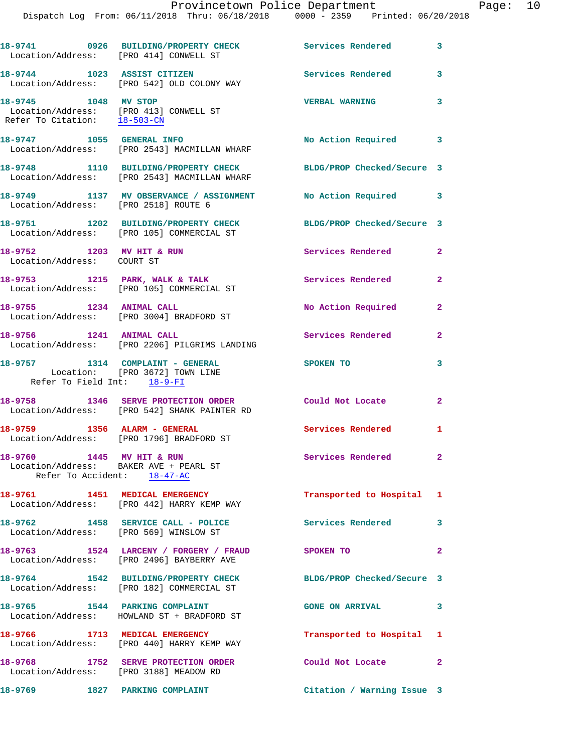| Location/Address: [PRO 414] CONWELL ST                                                                             | 18-9741 0926 BUILDING/PROPERTY CHECK                                                                         | Services Rendered          | 3                       |
|--------------------------------------------------------------------------------------------------------------------|--------------------------------------------------------------------------------------------------------------|----------------------------|-------------------------|
|                                                                                                                    | 18-9744 1023 ASSIST CITIZEN<br>Location/Address: [PRO 542] OLD COLONY WAY                                    | <b>Services Rendered</b>   | $\overline{\mathbf{3}}$ |
| 18-9745 1048 MV STOP<br>Location/Address: [PRO 413] CONWELL ST<br>Refer To Citation: $\frac{18-503-CN}{18-503-CN}$ |                                                                                                              | <b>VERBAL WARNING</b>      | 3                       |
|                                                                                                                    | 18-9747 1055 GENERAL INFO<br>Location/Address: [PRO 2543] MACMILLAN WHARF                                    | No Action Required 3       |                         |
|                                                                                                                    | 18-9748 1110 BUILDING/PROPERTY CHECK<br>Location/Address: [PRO 2543] MACMILLAN WHARF                         | BLDG/PROP Checked/Secure 3 |                         |
| Location/Address: [PRO 2518] ROUTE 6                                                                               | 18-9749 1137 MV OBSERVANCE / ASSIGNMENT No Action Required 3                                                 |                            |                         |
|                                                                                                                    | 18-9751 1202 BUILDING/PROPERTY CHECK<br>Location/Address: [PRO 105] COMMERCIAL ST                            | BLDG/PROP Checked/Secure 3 |                         |
| 18-9752 1203 MV HIT & RUN<br>Location/Address: COURT ST                                                            |                                                                                                              | Services Rendered          | $\mathbf{2}$            |
|                                                                                                                    | 18-9753 1215 PARK, WALK & TALK<br>Location/Address: [PRO 105] COMMERCIAL ST                                  | Services Rendered          | $\overline{2}$          |
|                                                                                                                    | 18-9755 1234 ANIMAL CALL<br>Location/Address: [PRO 3004] BRADFORD ST                                         | No Action Required         | $\mathbf{2}$            |
| 18-9756 1241 ANIMAL CALL                                                                                           | Location/Address: [PRO 2206] PILGRIMS LANDING                                                                | Services Rendered          | $\mathbf{2}$            |
| Refer To Field Int: 18-9-FI                                                                                        | 18-9757 1314 COMPLAINT - GENERAL<br>Location: [PRO 3672] TOWN LINE                                           | <b>SPOKEN TO</b>           | 3                       |
|                                                                                                                    | 18-9758 1346 SERVE PROTECTION ORDER<br>Location/Address: [PRO 542] SHANK PAINTER RD                          | Could Not Locate           | $\mathbf{2}$            |
| 18-9759 1356 ALARM - GENERAL                                                                                       | Location/Address: [PRO 1796] BRADFORD ST                                                                     | Services Rendered 1        |                         |
| 18-9760 1445 MV HIT & RUN<br>Location/Address: BAKER AVE + PEARL ST<br>Refer To Accident: 18-47-AC                 |                                                                                                              | Services Rendered 2        |                         |
|                                                                                                                    | 18-9761 1451 MEDICAL EMERGENCY<br>Location/Address: [PRO 442] HARRY KEMP WAY                                 | Transported to Hospital 1  |                         |
| Location/Address: [PRO 569] WINSLOW ST                                                                             | 18-9762 1458 SERVICE CALL - POLICE                                                                           | Services Rendered 3        |                         |
|                                                                                                                    | 18-9763 1524 LARCENY / FORGERY / FRAUD SPOKEN TO<br>Location/Address: [PRO 2496] BAYBERRY AVE                |                            | $\mathbf{2}$            |
|                                                                                                                    | 18-9764 1542 BUILDING/PROPERTY CHECK BLDG/PROP Checked/Secure 3<br>Location/Address: [PRO 182] COMMERCIAL ST |                            |                         |
| 18-9765 1544 PARKING COMPLAINT                                                                                     | Location/Address: HOWLAND ST + BRADFORD ST                                                                   | GONE ON ARRIVAL 3          |                         |
|                                                                                                                    | 18-9766 1713 MEDICAL EMERGENCY<br>Location/Address: [PRO 440] HARRY KEMP WAY                                 | Transported to Hospital 1  |                         |
| Location/Address: [PRO 3188] MEADOW RD                                                                             | 18-9768 1752 SERVE PROTECTION ORDER                                                                          | Could Not Locate 2         |                         |
| 18-9769 1827 PARKING COMPLAINT                                                                                     |                                                                                                              | Citation / Warning Issue 3 |                         |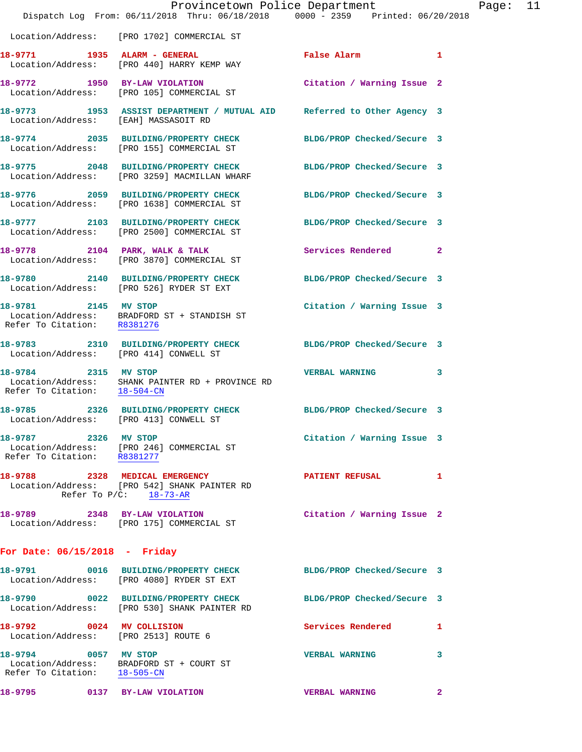|                                                                   | Dispatch Log From: 06/11/2018 Thru: 06/18/2018 0000 - 2359 Printed: 06/20/2018                               | Provincetown Police Department | Page: 11 |  |
|-------------------------------------------------------------------|--------------------------------------------------------------------------------------------------------------|--------------------------------|----------|--|
|                                                                   | Location/Address: [PRO 1702] COMMERCIAL ST                                                                   |                                |          |  |
|                                                                   | 18-9771 1935 ALARM - GENERAL<br>Location/Address: [PRO 440] HARRY KEMP WAY                                   | False Alarm 1                  |          |  |
|                                                                   | 18-9772 1950 BY-LAW VIOLATION<br>Location/Address: [PRO 105] COMMERCIAL ST                                   | Citation / Warning Issue 2     |          |  |
| Location/Address: [EAH] MASSASOIT RD                              | 18-9773 1953 ASSIST DEPARTMENT / MUTUAL AID Referred to Other Agency 3                                       |                                |          |  |
|                                                                   | 18-9774 2035 BUILDING/PROPERTY CHECK<br>Location/Address: [PRO 155] COMMERCIAL ST                            | BLDG/PROP Checked/Secure 3     |          |  |
|                                                                   | 18-9775 2048 BUILDING/PROPERTY CHECK<br>Location/Address: [PRO 3259] MACMILLAN WHARF                         | BLDG/PROP Checked/Secure 3     |          |  |
|                                                                   | 18-9776 2059 BUILDING/PROPERTY CHECK<br>Location/Address: [PRO 1638] COMMERCIAL ST                           | BLDG/PROP Checked/Secure 3     |          |  |
|                                                                   | 18-9777 2103 BUILDING/PROPERTY CHECK<br>Location/Address: [PRO 2500] COMMERCIAL ST                           | BLDG/PROP Checked/Secure 3     |          |  |
|                                                                   | 18-9778 2104 PARK, WALK & TALK<br>Location/Address: [PRO 3870] COMMERCIAL ST                                 | Services Rendered 2            |          |  |
|                                                                   | 18-9780 2140 BUILDING/PROPERTY CHECK BLDG/PROP Checked/Secure 3<br>Location/Address: [PRO 526] RYDER ST EXT  |                                |          |  |
| 18-9781 2145 MV STOP<br>Refer To Citation: R8381276               | Location/Address: BRADFORD ST + STANDISH ST                                                                  | Citation / Warning Issue 3     |          |  |
| Location/Address: [PRO 414] CONWELL ST                            | 18-9783 2310 BUILDING/PROPERTY CHECK BLDG/PROP Checked/Secure 3                                              |                                |          |  |
| 18-9784 2315 MV STOP                                              | Location/Address: SHANK PAINTER RD + PROVINCE RD<br>Refer To Citation: $18-504$ -CN                          | VERBAL WARNING 3               |          |  |
| Location/Address: [PRO 413] CONWELL ST                            | 18-9785 2326 BUILDING/PROPERTY CHECK BLDG/PROP Checked/Secure 3                                              |                                |          |  |
| 18-9787 2326 MV STOP<br>Refer To Citation: R8381277               | Location/Address: [PRO 246] COMMERCIAL ST                                                                    | Citation / Warning Issue 3     |          |  |
|                                                                   | 18-9788 2328 MEDICAL EMERGENCY<br>Location/Address: [PRO 542] SHANK PAINTER RD<br>Refer To $P/C$ : 18-73-AR  | PATIENT REFUSAL 1              |          |  |
|                                                                   | 18-9789 2348 BY-LAW VIOLATION Citation / Warning Issue 2<br>Location/Address: [PRO 175] COMMERCIAL ST        |                                |          |  |
| For Date: $06/15/2018$ - Friday                                   |                                                                                                              |                                |          |  |
|                                                                   | 18-9791 0016 BUILDING/PROPERTY CHECK BLDG/PROP Checked/Secure 3<br>Location/Address: [PRO 4080] RYDER ST EXT |                                |          |  |
|                                                                   | 18-9790 0022 BUILDING/PROPERTY CHECK<br>Location/Address: [PRO 530] SHANK PAINTER RD                         | BLDG/PROP Checked/Secure 3     |          |  |
| 18-9792 0024 MV COLLISION<br>Location/Address: [PRO 2513] ROUTE 6 |                                                                                                              | Services Rendered 1            |          |  |
| 18-9794 0057 MV STOP<br>Refer To Citation: 18-505-CN              | Location/Address: BRADFORD ST + COURT ST                                                                     | VERBAL WARNING 3               |          |  |
|                                                                   | 18-9795 0137 BY-LAW VIOLATION                                                                                | <b>VERBAL WARNING</b>          | 2        |  |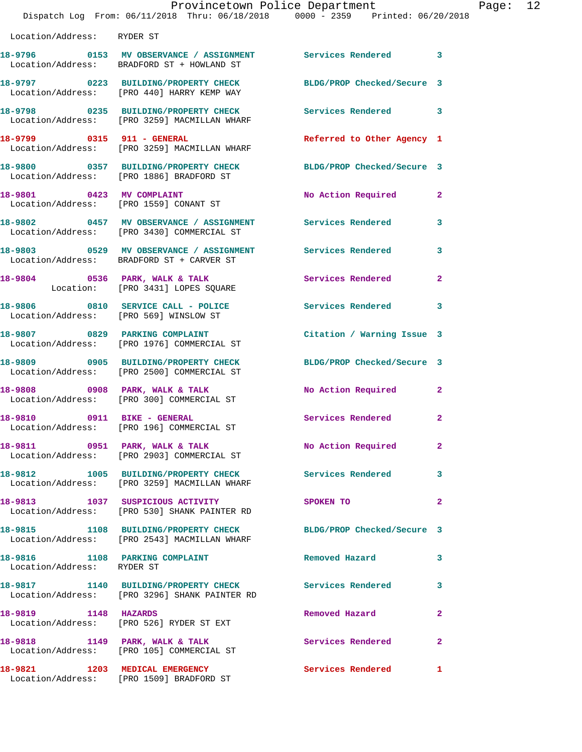|                                                              | Provincetown Police Department<br>Dispatch Log From: 06/11/2018 Thru: 06/18/2018 0000 - 2359 Printed: 06/20/2018 |                            |                |
|--------------------------------------------------------------|------------------------------------------------------------------------------------------------------------------|----------------------------|----------------|
| Location/Address: RYDER ST                                   |                                                                                                                  |                            |                |
|                                                              | 18-9796  0153 MV OBSERVANCE / ASSIGNMENT Services Rendered<br>Location/Address: BRADFORD ST + HOWLAND ST         |                            | 3              |
|                                                              | 18-9797 0223 BUILDING/PROPERTY CHECK<br>Location/Address: [PRO 440] HARRY KEMP WAY                               | BLDG/PROP Checked/Secure 3 |                |
|                                                              | 18-9798 0235 BUILDING/PROPERTY CHECK<br>Location/Address: [PRO 3259] MACMILLAN WHARF                             | <b>Services Rendered</b>   | 3              |
|                                                              | 18-9799 0315 911 - GENERAL<br>Location/Address: [PRO 3259] MACMILLAN WHARF                                       | Referred to Other Agency 1 |                |
|                                                              | 18-9800 0357 BUILDING/PROPERTY CHECK<br>Location/Address: [PRO 1886] BRADFORD ST                                 | BLDG/PROP Checked/Secure 3 |                |
|                                                              | 18-9801 0423 MV COMPLAINT<br>Location/Address: [PRO 1559] CONANT ST                                              | No Action Required         | $\mathbf{2}$   |
|                                                              | 18-9802 0457 MV OBSERVANCE / ASSIGNMENT Services Rendered<br>Location/Address: [PRO 3430] COMMERCIAL ST          |                            | 3              |
|                                                              | 18-9803 0529 MV OBSERVANCE / ASSIGNMENT Services Rendered<br>Location/Address: BRADFORD ST + CARVER ST           |                            | 3              |
|                                                              | 18-9804 0536 PARK, WALK & TALK<br>Location: [PRO 3431] LOPES SQUARE                                              | Services Rendered          | $\mathbf{2}$   |
|                                                              | 18-9806 0810 SERVICE CALL - POLICE<br>Location/Address: [PRO 569] WINSLOW ST                                     | <b>Services Rendered</b>   | 3              |
|                                                              | 18-9807 0829 PARKING COMPLAINT<br>Location/Address: [PRO 1976] COMMERCIAL ST                                     | Citation / Warning Issue 3 |                |
|                                                              | 18-9809 0905 BUILDING/PROPERTY CHECK<br>Location/Address: [PRO 2500] COMMERCIAL ST                               | BLDG/PROP Checked/Secure 3 |                |
|                                                              | 18-9808 0908 PARK, WALK & TALK<br>Location/Address: [PRO 300] COMMERCIAL ST                                      | No Action Required         | $\mathbf{2}$   |
| 18-9810 0911 BIKE - GENERAL                                  | Location/Address: [PRO 196] COMMERCIAL ST                                                                        | Services Rendered          | $\overline{a}$ |
|                                                              | 18-9811 0951 PARK, WALK & TALK<br>Location/Address: [PRO 2903] COMMERCIAL ST                                     | No Action Required         | $\mathbf{2}$   |
|                                                              | 18-9812 1005 BUILDING/PROPERTY CHECK Services Rendered<br>Location/Address: [PRO 3259] MACMILLAN WHARF           |                            | 3              |
|                                                              | 18-9813 1037 SUSPICIOUS ACTIVITY<br>Location/Address: [PRO 530] SHANK PAINTER RD                                 | SPOKEN TO                  | $\mathbf{2}$   |
|                                                              | 18-9815 1108 BUILDING/PROPERTY CHECK BLDG/PROP Checked/Secure 3<br>Location/Address: [PRO 2543] MACMILLAN WHARF  |                            |                |
| 18-9816 1108 PARKING COMPLAINT<br>Location/Address: RYDER ST |                                                                                                                  | Removed Hazard             | 3              |
|                                                              | 18-9817 1140 BUILDING/PROPERTY CHECK<br>Location/Address: [PRO 3296] SHANK PAINTER RD                            | <b>Services Rendered</b>   | 3              |
| 18-9819 1148 HAZARDS                                         | Location/Address: [PRO 526] RYDER ST EXT                                                                         | Removed Hazard             | 2              |
|                                                              | 18-9818 1149 PARK, WALK & TALK<br>Location/Address: [PRO 105] COMMERCIAL ST                                      | Services Rendered          | $\mathbf{2}$   |
|                                                              | 18-9821 1203 MEDICAL EMERGENCY                                                                                   | <b>Services Rendered</b>   | $\mathbf{1}$   |

Location/Address: [PRO 1509] BRADFORD ST

Page: 12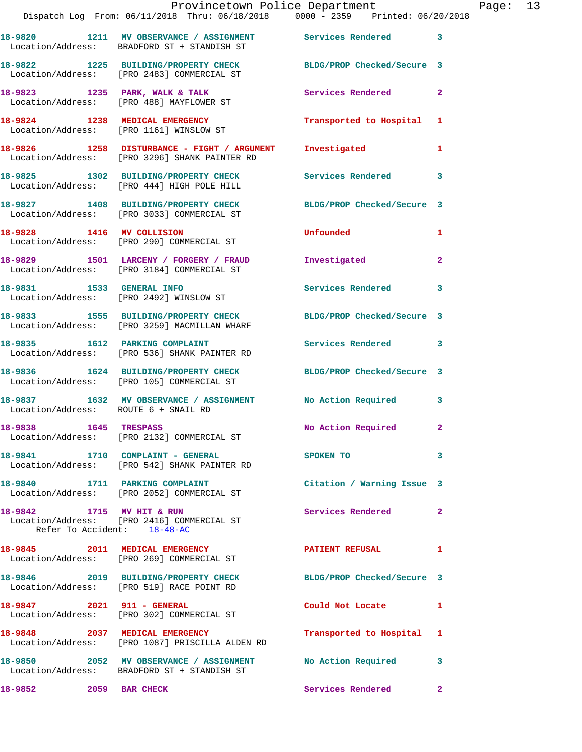|                                                          | Dispatch Log From: 06/11/2018 Thru: 06/18/2018   0000 - 2359   Printed: 06/20/2018                              | Provincetown Police Department | Page: 13       |
|----------------------------------------------------------|-----------------------------------------------------------------------------------------------------------------|--------------------------------|----------------|
|                                                          | 18-9820 1211 MV OBSERVANCE / ASSIGNMENT Services Rendered 3<br>Location/Address: BRADFORD ST + STANDISH ST      |                                |                |
|                                                          | 18-9822 1225 BUILDING/PROPERTY CHECK BLDG/PROP Checked/Secure 3<br>Location/Address: [PRO 2483] COMMERCIAL ST   |                                |                |
|                                                          | 18-9823 1235 PARK, WALK & TALK 18 Services Rendered<br>Location/Address: [PRO 488] MAYFLOWER ST                 |                                | $\mathbf{2}$   |
|                                                          | 18-9824 1238 MEDICAL EMERGENCY<br>Location/Address: [PRO 1161] WINSLOW ST                                       | Transported to Hospital 1      |                |
|                                                          |                                                                                                                 | Investigated                   | $\mathbf{1}$   |
|                                                          | 18-9825 1302 BUILDING/PROPERTY CHECK Services Rendered<br>Location/Address: [PRO 444] HIGH POLE HILL            |                                | 3              |
|                                                          | 18-9827 1408 BUILDING/PROPERTY CHECK BLDG/PROP Checked/Secure 3<br>Location/Address: [PRO 3033] COMMERCIAL ST   |                                |                |
|                                                          | 18-9828 1416 MV COLLISION<br>Location/Address: [PRO 290] COMMERCIAL ST                                          | Unfounded                      | $\mathbf{1}$   |
|                                                          | 18-9829 1501 LARCENY / FORGERY / FRAUD Investigated<br>Location/Address: [PRO 3184] COMMERCIAL ST               |                                | $\mathbf{2}$   |
|                                                          | 18-9831 1533 GENERAL INFO<br>Location/Address: [PRO 2492] WINSLOW ST                                            | <b>Services Rendered</b>       | 3              |
|                                                          | 18-9833 1555 BUILDING/PROPERTY CHECK BLDG/PROP Checked/Secure 3<br>Location/Address: [PRO 3259] MACMILLAN WHARF |                                |                |
|                                                          | 18-9835 1612 PARKING COMPLAINT<br>Location/Address: [PRO 536] SHANK PAINTER RD                                  | Services Rendered 3            |                |
|                                                          | 18-9836 1624 BUILDING/PROPERTY CHECK BLDG/PROP Checked/Secure 3<br>Location/Address: [PRO 105] COMMERCIAL ST    |                                |                |
| Location/Address: ROUTE 6 + SNAIL RD                     | 18-9837 1632 MV OBSERVANCE / ASSIGNMENT No Action Required 3                                                    |                                |                |
|                                                          | 18-9838 1645 TRESPASS<br>Location/Address: [PRO 2132] COMMERCIAL ST                                             | No Action Required 2           |                |
|                                                          | 18-9841 1710 COMPLAINT - GENERAL<br>Location/Address: [PRO 542] SHANK PAINTER RD                                | SPOKEN TO                      | 3              |
|                                                          | 18-9840 1711 PARKING COMPLAINT<br>Location/Address: [PRO 2052] COMMERCIAL ST                                    | Citation / Warning Issue 3     |                |
| 18-9842 1715 MV HIT & RUN<br>Refer To Accident: 18-48-AC | Location/Address: [PRO 2416] COMMERCIAL ST                                                                      | <b>Services Rendered</b>       | $\mathbf{2}$   |
|                                                          | 18-9845 2011 MEDICAL EMERGENCY PATIENT REFUSAL<br>Location/Address: [PRO 269] COMMERCIAL ST                     |                                | $\mathbf{1}$   |
|                                                          | 18-9846 2019 BUILDING/PROPERTY CHECK BLDG/PROP Checked/Secure 3<br>Location/Address: [PRO 519] RACE POINT RD    |                                |                |
| 18-9847 2021 911 - GENERAL                               | Location/Address: [PRO 302] COMMERCIAL ST                                                                       | Could Not Locate 1             |                |
|                                                          | 18-9848 2037 MEDICAL EMERGENCY<br>Location/Address: [PRO 1087] PRISCILLA ALDEN RD                               | Transported to Hospital 1      |                |
|                                                          | 18-9850 2052 MV OBSERVANCE / ASSIGNMENT No Action Required<br>Location/Address: BRADFORD ST + STANDISH ST       |                                | 3              |
| 18-9852 2059 BAR CHECK                                   |                                                                                                                 | Services Rendered              | $\overline{a}$ |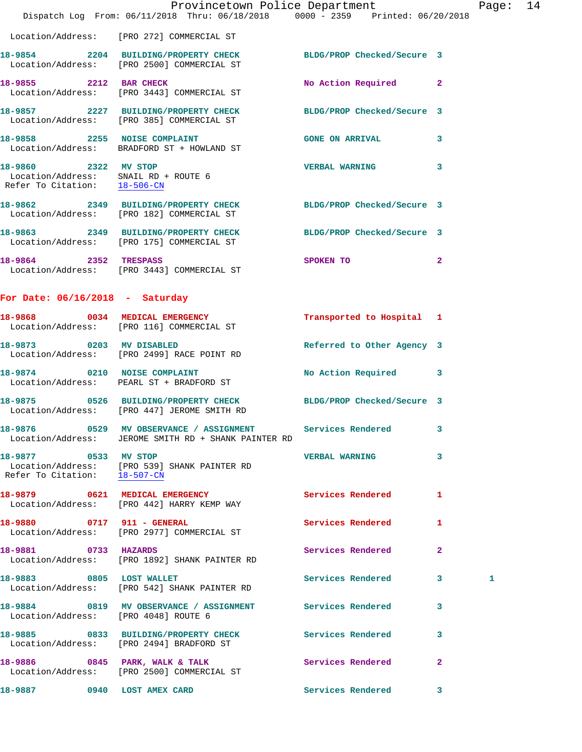|                                                                                              | Provincetown Police Department<br>Dispatch Log From: 06/11/2018 Thru: 06/18/2018 0000 - 2359 Printed: 06/20/2018 |                            |                         | Page: 14 |  |
|----------------------------------------------------------------------------------------------|------------------------------------------------------------------------------------------------------------------|----------------------------|-------------------------|----------|--|
|                                                                                              | Location/Address: [PRO 272] COMMERCIAL ST                                                                        |                            |                         |          |  |
|                                                                                              | 18-9854 2204 BUILDING/PROPERTY CHECK BLDG/PROP Checked/Secure 3<br>Location/Address: [PRO 2500] COMMERCIAL ST    |                            |                         |          |  |
| 18-9855 2212 BAR CHECK                                                                       | Location/Address: [PRO 3443] COMMERCIAL ST                                                                       | No Action Required 2       |                         |          |  |
|                                                                                              | 18-9857 2227 BUILDING/PROPERTY CHECK<br>Location/Address: [PRO 385] COMMERCIAL ST                                | BLDG/PROP Checked/Secure 3 |                         |          |  |
|                                                                                              | 18-9858 2255 NOISE COMPLAINT<br>Location/Address: BRADFORD ST + HOWLAND ST                                       | GONE ON ARRIVAL 3          |                         |          |  |
| 18-9860 2322 MV STOP<br>Location/Address: SNAIL RD + ROUTE 6<br>Refer To Citation: 18-506-CN |                                                                                                                  | <b>VERBAL WARNING</b>      | $\overline{\mathbf{3}}$ |          |  |
|                                                                                              | 18-9862 2349 BUILDING/PROPERTY CHECK BLDG/PROP Checked/Secure 3<br>Location/Address: [PRO 182] COMMERCIAL ST     |                            |                         |          |  |
|                                                                                              | 18-9863 2349 BUILDING/PROPERTY CHECK<br>Location/Address: [PRO 175] COMMERCIAL ST                                | BLDG/PROP Checked/Secure 3 |                         |          |  |
|                                                                                              | 18-9864 2352 TRESPASS<br>Location/Address: [PRO 3443] COMMERCIAL ST                                              | SPOKEN TO                  | $\overline{2}$          |          |  |
| For Date: $06/16/2018$ - Saturday                                                            |                                                                                                                  |                            |                         |          |  |
|                                                                                              | 18-9868 0034 MEDICAL EMERGENCY<br>Location/Address: [PRO 116] COMMERCIAL ST                                      | Transported to Hospital 1  |                         |          |  |
| 18-9873 0203 MV DISABLED                                                                     | Location/Address: [PRO 2499] RACE POINT RD                                                                       | Referred to Other Agency 3 |                         |          |  |
|                                                                                              | 18-9874 0210 NOISE COMPLAINT<br>Location/Address: PEARL ST + BRADFORD ST                                         | No Action Required 3       |                         |          |  |
|                                                                                              | 18-9875 0526 BUILDING/PROPERTY CHECK BLDG/PROP Checked/Secure 3<br>Location/Address: [PRO 447] JEROME SMITH RD   |                            |                         |          |  |
|                                                                                              | 18-9876 0529 MV OBSERVANCE / ASSIGNMENT<br>Location/Address: JEROME SMITH RD + SHANK PAINTER RD                  | Services Rendered          | 3                       |          |  |
| 18-9877 0533 MV STOP<br>Refer To Citation: 18-507-CN                                         | Location/Address: [PRO 539] SHANK PAINTER RD                                                                     | <b>VERBAL WARNING</b>      | 3                       |          |  |
|                                                                                              | 18-9879 0621 MEDICAL EMERGENCY<br>Location/Address: [PRO 442] HARRY KEMP WAY                                     | <b>Services Rendered</b>   | 1                       |          |  |
| 18-9880 0717 911 - GENERAL                                                                   | Location/Address: [PRO 2977] COMMERCIAL ST                                                                       | Services Rendered          | 1                       |          |  |
| 18-9881 0733 HAZARDS                                                                         | Location/Address: [PRO 1892] SHANK PAINTER RD                                                                    | Services Rendered          | $\mathbf{2}$            |          |  |
| 18-9883 0805 LOST WALLET                                                                     | Location/Address: [PRO 542] SHANK PAINTER RD                                                                     | Services Rendered 3        |                         | 1        |  |
| Location/Address: [PRO 4048] ROUTE 6                                                         | 18-9884 0819 MV OBSERVANCE / ASSIGNMENT Services Rendered                                                        |                            | 3                       |          |  |
|                                                                                              | 18-9885 0833 BUILDING/PROPERTY CHECK<br>Location/Address: [PRO 2494] BRADFORD ST                                 | Services Rendered          | 3                       |          |  |
|                                                                                              | 18-9886 0845 PARK, WALK & TALK<br>Location/Address: [PRO 2500] COMMERCIAL ST                                     | Services Rendered          | $\mathbf{2}$            |          |  |
| 18-9887 0940 LOST AMEX CARD                                                                  |                                                                                                                  | Services Rendered 3        |                         |          |  |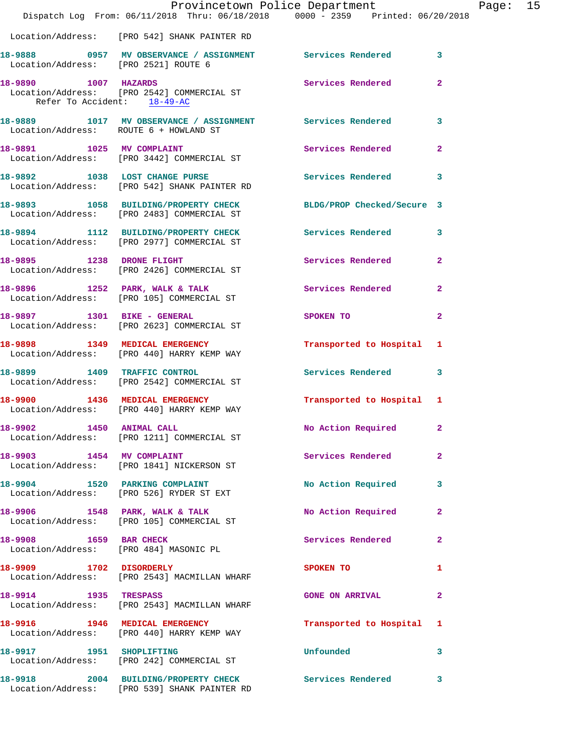|                                                     | Provincetown Police Department Page: 15<br>Dispatch Log From: 06/11/2018 Thru: 06/18/2018 0000 - 2359 Printed: 06/20/2018 |                                                                                                               |              |  |
|-----------------------------------------------------|---------------------------------------------------------------------------------------------------------------------------|---------------------------------------------------------------------------------------------------------------|--------------|--|
|                                                     | Location/Address: [PRO 542] SHANK PAINTER RD                                                                              |                                                                                                               |              |  |
|                                                     | 18-9888 0957 MV OBSERVANCE / ASSIGNMENT Services Rendered 3<br>Location/Address: [PRO 2521] ROUTE 6                       |                                                                                                               |              |  |
| 18-9890 1007 HAZARDS<br>Refer To Accident: 18-49-AC | Location/Address: [PRO 2542] COMMERCIAL ST                                                                                | Services Rendered 2                                                                                           |              |  |
| Location/Address: ROUTE 6 + HOWLAND ST              | 18-9889 1017 MV OBSERVANCE / ASSIGNMENT Services Rendered 3                                                               |                                                                                                               |              |  |
|                                                     | 18-9891 1025 MV COMPLAINT<br>Location/Address: [PRO 3442] COMMERCIAL ST                                                   | Services Rendered 2                                                                                           |              |  |
|                                                     | 18-9892 1038 LOST CHANGE PURSE 2008 Services Rendered 3<br>Location/Address: [PRO 542] SHANK PAINTER RD                   |                                                                                                               |              |  |
|                                                     | 18-9893 1058 BUILDING/PROPERTY CHECK BLDG/PROP Checked/Secure 3<br>Location/Address: [PRO 2483] COMMERCIAL ST             |                                                                                                               |              |  |
|                                                     | 18-9894 1112 BUILDING/PROPERTY CHECK Services Rendered 3<br>Location/Address: [PRO 2977] COMMERCIAL ST                    |                                                                                                               |              |  |
|                                                     | 18-9895 1238 DRONE FLIGHT<br>Location/Address: [PRO 2426] COMMERCIAL ST                                                   | Services Rendered 2                                                                                           |              |  |
|                                                     | 18-9896 1252 PARK, WALK & TALK 1988 Services Rendered 2<br>Location/Address: [PRO 105] COMMERCIAL ST                      |                                                                                                               |              |  |
|                                                     | 18-9897 1301 BIKE - GENERAL<br>Location/Address: [PRO 2623] COMMERCIAL ST                                                 | SPOKEN TO AND TO A STATE OF THE STATE OF THE STATE OF THE STATE OF THE STATE OF THE STATE OF THE STATE OF THE | $\mathbf{2}$ |  |
|                                                     | 18-9898 1349 MEDICAL EMERGENCY<br>Location/Address: [PRO 440] HARRY KEMP WAY                                              | Transported to Hospital 1                                                                                     |              |  |
|                                                     | 18-9899 1409 TRAFFIC CONTROL<br>Location/Address: [PRO 2542] COMMERCIAL ST                                                | Services Rendered 3                                                                                           |              |  |
|                                                     | 18-9900 1436 MEDICAL EMERGENCY<br>Location/Address: [PRO 440] HARRY KEMP WAY                                              | Transported to Hospital 1                                                                                     |              |  |
| 18-9902 1450 ANIMAL CALL                            | Location/Address: [PRO 1211] COMMERCIAL ST                                                                                | No Action Required 2                                                                                          |              |  |
| 18-9903 1454 MV COMPLAINT                           | Location/Address: [PRO 1841] NICKERSON ST                                                                                 | Services Rendered 2                                                                                           |              |  |
|                                                     | 18-9904 1520 PARKING COMPLAINT<br>Location/Address: [PRO 526] RYDER ST EXT                                                | No Action Required 3                                                                                          |              |  |
|                                                     | 18-9906 1548 PARK, WALK & TALK<br>Location/Address: [PRO 105] COMMERCIAL ST                                               | No Action Required 2                                                                                          |              |  |
|                                                     | 18-9908 1659 BAR CHECK<br>Location/Address: [PRO 484] MASONIC PL                                                          | Services Rendered                                                                                             | $\mathbf{2}$ |  |
| 18-9909 1702 DISORDERLY                             | Location/Address: [PRO 2543] MACMILLAN WHARF                                                                              | SPOKEN TO                                                                                                     | $\mathbf{1}$ |  |
| 18-9914 1935 TRESPASS                               | Location/Address: [PRO 2543] MACMILLAN WHARF                                                                              | <b>GONE ON ARRIVAL</b>                                                                                        | $\mathbf{2}$ |  |
|                                                     | 18-9916 1946 MEDICAL EMERGENCY<br>Location/Address: [PRO 440] HARRY KEMP WAY                                              | Transported to Hospital 1                                                                                     |              |  |
|                                                     | 18-9917 1951 SHOPLIFTING<br>Location/Address: [PRO 242] COMMERCIAL ST                                                     | Unfounded                                                                                                     | 3            |  |
|                                                     | 18-9918 2004 BUILDING/PROPERTY CHECK Services Rendered 3<br>Location/Address: [PRO 539] SHANK PAINTER RD                  |                                                                                                               |              |  |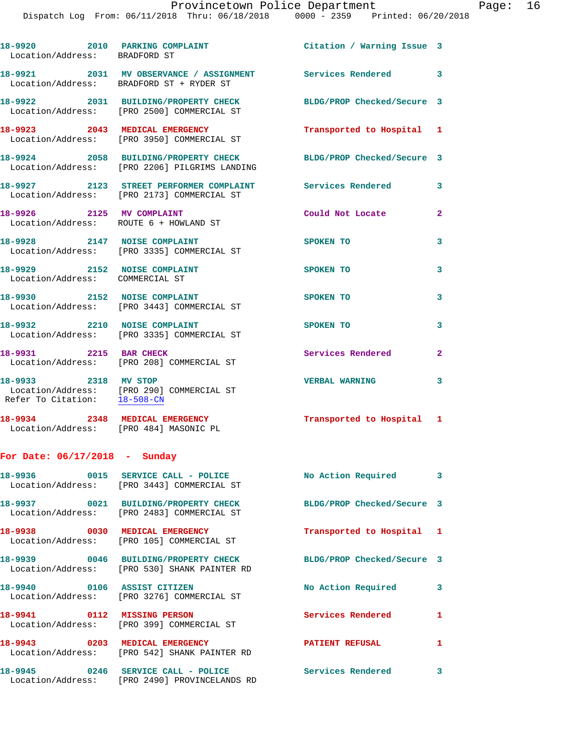| Location/Address: BRADFORD ST                                   | 18-9920 2010 PARKING COMPLAINT Citation / Warning Issue 3                                                 |                            |                |
|-----------------------------------------------------------------|-----------------------------------------------------------------------------------------------------------|----------------------------|----------------|
|                                                                 | 18-9921 2031 MV OBSERVANCE / ASSIGNMENT Services Rendered 3<br>Location/Address: BRADFORD ST + RYDER ST   |                            |                |
|                                                                 | 18-9922 2031 BUILDING/PROPERTY CHECK<br>Location/Address: [PRO 2500] COMMERCIAL ST                        | BLDG/PROP Checked/Secure 3 |                |
|                                                                 | 18-9923 2043 MEDICAL EMERGENCY<br>Location/Address: [PRO 3950] COMMERCIAL ST                              | Transported to Hospital 1  |                |
|                                                                 | 18-9924 2058 BUILDING/PROPERTY CHECK<br>Location/Address: [PRO 2206] PILGRIMS LANDING                     | BLDG/PROP Checked/Secure 3 |                |
|                                                                 | 18-9927 2123 STREET PERFORMER COMPLAINT Services Rendered 3<br>Location/Address: [PRO 2173] COMMERCIAL ST |                            |                |
| 18-9926 2125 MV COMPLAINT                                       | Location/Address: ROUTE 6 + HOWLAND ST                                                                    | Could Not Locate           | $\overline{2}$ |
| 18-9928 2147 NOISE COMPLAINT                                    | Location/Address: [PRO 3335] COMMERCIAL ST                                                                | SPOKEN TO                  | 3              |
| 18-9929 2152 NOISE COMPLAINT<br>Location/Address: COMMERCIAL ST |                                                                                                           | SPOKEN TO                  | 3              |
|                                                                 | 18-9930 2152 NOISE COMPLAINT<br>Location/Address: [PRO 3443] COMMERCIAL ST                                | SPOKEN TO                  | 3              |
|                                                                 | 18-9932 2210 NOISE COMPLAINT<br>Location/Address: [PRO 3335] COMMERCIAL ST                                | SPOKEN TO                  | 3              |
| 18-9931 2215 BAR CHECK                                          | Location/Address: [PRO 208] COMMERCIAL ST                                                                 | Services Rendered          | $\mathbf{2}$   |
| 18-9933 2318 MV STOP<br>Refer To Citation: 18-508-CN            | Location/Address: [PRO 290] COMMERCIAL ST                                                                 | <b>VERBAL WARNING</b>      | 3              |
|                                                                 | 18-9934 2348 MEDICAL EMERGENCY<br>Location/Address: [PRO 484] MASONIC PL                                  | Transported to Hospital 1  |                |
| For Date: $06/17/2018$ - Sunday                                 |                                                                                                           |                            |                |
|                                                                 | Location/Address: [PRO 3443] COMMERCIAL ST                                                                | No Action Required 3       |                |
|                                                                 | 18-9937 0021 BUILDING/PROPERTY CHECK<br>Location/Address: [PRO 2483] COMMERCIAL ST                        | BLDG/PROP Checked/Secure 3 |                |
|                                                                 | 18-9938 0030 MEDICAL EMERGENCY<br>Location/Address: [PRO 105] COMMERCIAL ST                               | Transported to Hospital 1  |                |
|                                                                 | 18-9939 0046 BUILDING/PROPERTY CHECK<br>Location/Address: [PRO 530] SHANK PAINTER RD                      | BLDG/PROP Checked/Secure 3 |                |
| 18-9940 0106 ASSIST CITIZEN                                     | Location/Address: [PRO 3276] COMMERCIAL ST                                                                | No Action Required         | 3              |
| 18-9941 0112 MISSING PERSON                                     | Location/Address: [PRO 399] COMMERCIAL ST                                                                 | Services Rendered          | $\mathbf{1}$   |
| 18-9943 0203 MEDICAL EMERGENCY                                  | Location/Address: [PRO 542] SHANK PAINTER RD                                                              | <b>PATIENT REFUSAL</b>     | $\mathbf{1}$   |
|                                                                 | 18-9945 0246 SERVICE CALL - POLICE<br>Location/Address: [PRO 2490] PROVINCELANDS RD                       | Services Rendered 3        |                |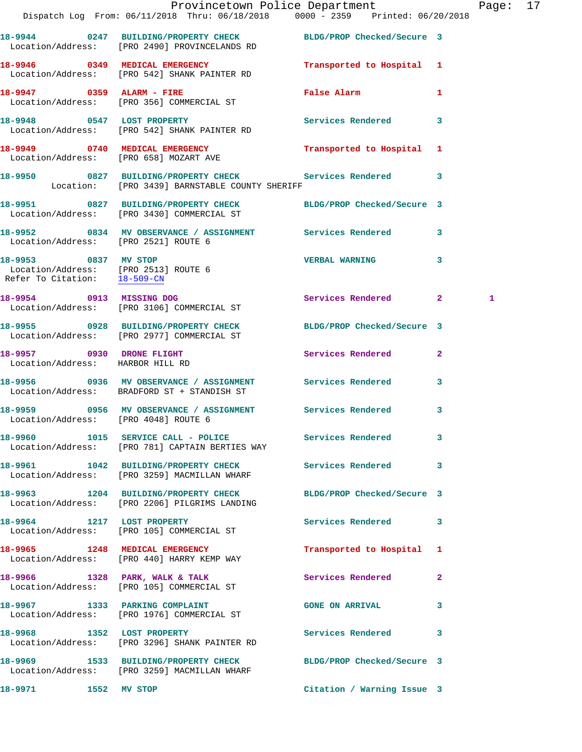|                                                               | Provincetown Police Department                                                                                   |                            |              | Page: 17 |  |
|---------------------------------------------------------------|------------------------------------------------------------------------------------------------------------------|----------------------------|--------------|----------|--|
|                                                               | Dispatch Log From: 06/11/2018 Thru: 06/18/2018 0000 - 2359 Printed: 06/20/2018                                   |                            |              |          |  |
|                                                               | 18-9944 0247 BUILDING/PROPERTY CHECK BLDG/PROP Checked/Secure 3<br>Location/Address: [PRO 2490] PROVINCELANDS RD |                            |              |          |  |
|                                                               | 18-9946 0349 MEDICAL EMERGENCY<br>Location/Address: [PRO 542] SHANK PAINTER RD                                   | Transported to Hospital 1  |              |          |  |
|                                                               | 18-9947 0359 ALARM - FIRE<br>Location/Address: [PRO 356] COMMERCIAL ST                                           | False Alarm                | $\mathbf{1}$ |          |  |
|                                                               | 18-9948 0547 LOST PROPERTY<br>Location/Address: [PRO 542] SHANK PAINTER RD                                       | Services Rendered 3        |              |          |  |
|                                                               | 18-9949 0740 MEDICAL EMERGENCY<br>Location/Address: [PRO 658] MOZART AVE                                         | Transported to Hospital 1  |              |          |  |
|                                                               | 18-9950 0827 BUILDING/PROPERTY CHECK Services Rendered 3<br>Location: [PRO 3439] BARNSTABLE COUNTY SHERIFF       |                            |              |          |  |
|                                                               | 18-9951 0827 BUILDING/PROPERTY CHECK BLDG/PROP Checked/Secure 3<br>Location/Address: [PRO 3430] COMMERCIAL ST    |                            |              |          |  |
| Location/Address: [PRO 2521] ROUTE 6                          | 18-9952 0834 MV OBSERVANCE / ASSIGNMENT Services Rendered 3                                                      |                            |              |          |  |
| 18-9953 0837 MV STOP                                          | Location/Address: [PRO 2513] ROUTE 6<br>Refer To Citation: <u>18-509-CN</u>                                      | <b>VERBAL WARNING</b> 3    |              |          |  |
|                                                               | 18-9954 0913 MISSING DOG<br>Location/Address: [PRO 3106] COMMERCIAL ST                                           | Services Rendered 2        |              | 1        |  |
|                                                               | 18-9955 0928 BUILDING/PROPERTY CHECK BLDG/PROP Checked/Secure 3<br>Location/Address: [PRO 2977] COMMERCIAL ST    |                            |              |          |  |
| 18-9957 0930 DRONE FLIGHT<br>Location/Address: HARBOR HILL RD |                                                                                                                  | Services Rendered 2        |              |          |  |
|                                                               | 18-9956 6 0936 MV OBSERVANCE / ASSIGNMENT Services Rendered<br>Location/Address: BRADFORD ST + STANDISH ST       |                            | $\mathbf{3}$ |          |  |
| Location/Address: [PRO 4048] ROUTE 6                          | 18-9959 0956 MV OBSERVANCE / ASSIGNMENT Services Rendered 3                                                      |                            |              |          |  |
|                                                               | 18-9960 1015 SERVICE CALL - POLICE 3 Services Rendered 3<br>Location/Address: [PRO 781] CAPTAIN BERTIES WAY      |                            |              |          |  |
|                                                               | 18-9961 1042 BUILDING/PROPERTY CHECK Services Rendered 3<br>Location/Address: [PRO 3259] MACMILLAN WHARF         |                            |              |          |  |
|                                                               | 18-9963 1204 BUILDING/PROPERTY CHECK BLDG/PROP Checked/Secure 3<br>Location/Address: [PRO 2206] PILGRIMS LANDING |                            |              |          |  |
|                                                               | 18-9964 1217 LOST PROPERTY<br>Location/Address: [PRO 105] COMMERCIAL ST                                          | Services Rendered 3        |              |          |  |
|                                                               | 18-9965 1248 MEDICAL EMERGENCY<br>Location/Address: [PRO 440] HARRY KEMP WAY                                     | Transported to Hospital 1  |              |          |  |
|                                                               | 18-9966 1328 PARK, WALK & TALK<br>Location/Address: [PRO 105] COMMERCIAL ST                                      | Services Rendered 2        |              |          |  |
|                                                               | 18-9967 1333 PARKING COMPLAINT<br>Location/Address: [PRO 1976] COMMERCIAL ST                                     | <b>GONE ON ARRIVAL</b>     | 3            |          |  |
|                                                               | 18-9968 1352 LOST PROPERTY<br>Location/Address: [PRO 3296] SHANK PAINTER RD                                      | Services Rendered 3        |              |          |  |
|                                                               | 18-9969 1533 BUILDING/PROPERTY CHECK BLDG/PROP Checked/Secure 3<br>Location/Address: [PRO 3259] MACMILLAN WHARF  |                            |              |          |  |
| 1552 MV STOP<br>18-9971                                       |                                                                                                                  | Citation / Warning Issue 3 |              |          |  |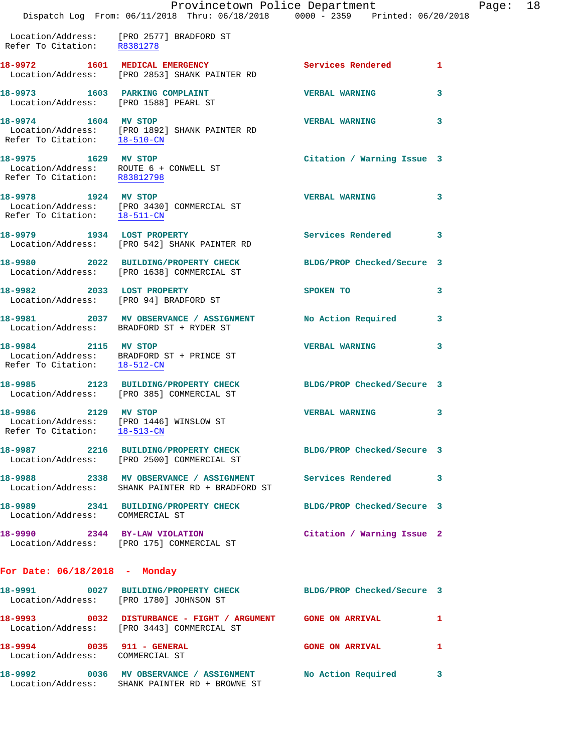|                                                      | Dispatch Log From: 06/11/2018 Thru: 06/18/2018 0000 - 2359 Printed: 06/20/2018                                  | Provincetown Police Department |   | Page: 18 |  |
|------------------------------------------------------|-----------------------------------------------------------------------------------------------------------------|--------------------------------|---|----------|--|
| Refer To Citation: R8381278                          | Location/Address: [PRO 2577] BRADFORD ST                                                                        |                                |   |          |  |
|                                                      | 18-9972 1601 MEDICAL EMERGENCY<br>Location/Address: [PRO 2853] SHANK PAINTER RD                                 | Services Rendered 1            |   |          |  |
| Location/Address: [PRO 1588] PEARL ST                | 18-9973 1603 PARKING COMPLAINT                                                                                  | <b>VERBAL WARNING</b>          | 3 |          |  |
| 18-9974 1604 MV STOP                                 | Location/Address: [PRO 1892] SHANK PAINTER RD<br>Refer To Citation: $\frac{18-510-CN}{\sqrt{3}}$                | <b>VERBAL WARNING</b>          | 3 |          |  |
| 18-9975 1629 MV STOP<br>Refer To Citation: R83812798 | Location/Address: ROUTE 6 + CONWELL ST                                                                          | Citation / Warning Issue 3     |   |          |  |
| Refer To Citation: 18-511-CN                         | 18-9978 1924 MV STOP<br>Location/Address: [PRO 3430] COMMERCIAL ST                                              | <b>VERBAL WARNING</b>          | 3 |          |  |
|                                                      | 18-9979 1934 LOST PROPERTY<br>Location/Address: [PRO 542] SHANK PAINTER RD                                      | Services Rendered 3            |   |          |  |
|                                                      | 18-9980 2022 BUILDING/PROPERTY CHECK<br>Location/Address: [PRO 1638] COMMERCIAL ST                              | BLDG/PROP Checked/Secure 3     |   |          |  |
| 18-9982 2033 LOST PROPERTY                           | Location/Address: [PRO 94] BRADFORD ST                                                                          | SPOKEN TO                      | 3 |          |  |
|                                                      | 18-9981 2037 MV OBSERVANCE / ASSIGNMENT<br>Location/Address: BRADFORD ST + RYDER ST                             | No Action Required 3           |   |          |  |
| 18-9984 2115 MV STOP<br>Refer To Citation: 18-512-CN | Location/Address: BRADFORD ST + PRINCE ST                                                                       | <b>VERBAL WARNING</b>          | 3 |          |  |
|                                                      | 18-9985 2123 BUILDING/PROPERTY CHECK BLDG/PROP Checked/Secure 3<br>Location/Address: [PRO 385] COMMERCIAL ST    |                                |   |          |  |
| 18-9986 2129 MV STOP<br>Refer To Citation: 18-513-CN | Location/Address: [PRO 1446] WINSLOW ST                                                                         | <b>VERBAL WARNING</b>          | 3 |          |  |
|                                                      | 18-9987 2216 BUILDING/PROPERTY CHECK BLDG/PROP Checked/Secure 3<br>Location/Address: [PRO 2500] COMMERCIAL ST   |                                |   |          |  |
|                                                      | 18-9988 2338 MV OBSERVANCE / ASSIGNMENT Services Rendered 3<br>Location/Address: SHANK PAINTER RD + BRADFORD ST |                                |   |          |  |
| Location/Address: COMMERCIAL ST                      | 18-9989 2341 BUILDING/PROPERTY CHECK BLDG/PROP Checked/Secure 3                                                 |                                |   |          |  |
|                                                      | 18-9990 2344 BY-LAW VIOLATION Citation / Warning Issue 2<br>Location/Address: [PRO 175] COMMERCIAL ST           |                                |   |          |  |
| For Date: $06/18/2018$ - Monday                      |                                                                                                                 |                                |   |          |  |
|                                                      | 18-9991 0027 BUILDING/PROPERTY CHECK BLDG/PROP Checked/Secure 3<br>Location/Address: [PRO 1780] JOHNSON ST      |                                |   |          |  |
|                                                      | 18-9993 0032 DISTURBANCE - FIGHT / ARGUMENT GONE ON ARRIVAL<br>Location/Address: [PRO 3443] COMMERCIAL ST       |                                | 1 |          |  |
| Location/Address: COMMERCIAL ST                      | 18-9994 0035 911 - GENERAL                                                                                      | <b>GONE ON ARRIVAL</b>         | 1 |          |  |
|                                                      | 18-9992 0036 MV OBSERVANCE / ASSIGNMENT No Action Required 3<br>Location/Address: SHANK PAINTER RD + BROWNE ST  |                                |   |          |  |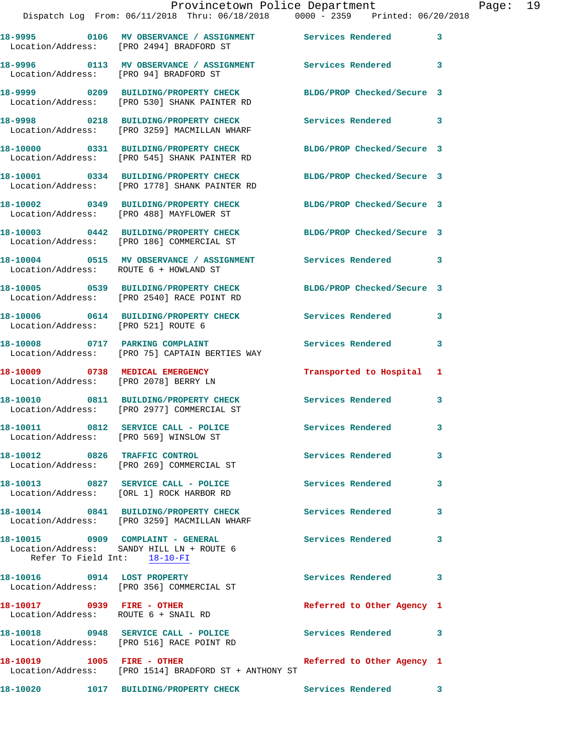|                                                                    | Provincetown Police Department<br>Dispatch Log From: 06/11/2018 Thru: 06/18/2018   0000 - 2359   Printed: 06/20/2018          |                            |              | Page: 19 |  |
|--------------------------------------------------------------------|-------------------------------------------------------------------------------------------------------------------------------|----------------------------|--------------|----------|--|
|                                                                    | 18-9995 0106 MV OBSERVANCE / ASSIGNMENT Services Rendered<br>Location/Address: [PRO 2494] BRADFORD ST                         |                            | $\mathbf{3}$ |          |  |
| Location/Address: [PRO 94] BRADFORD ST                             | 18-9996 0113 MV OBSERVANCE / ASSIGNMENT Services Rendered 3                                                                   |                            |              |          |  |
|                                                                    | 18-9999   0209   BUILDING/PROPERTY CHECK   BLDG/PROP Checked/Secure   3<br>Location/Address: [PRO 530] SHANK PAINTER RD       |                            |              |          |  |
|                                                                    | 18-9998      0218   BUILDING/PROPERTY CHECK        Services Rendered      3<br>Location/Address:   [PRO 3259] MACMILLAN WHARF |                            |              |          |  |
|                                                                    | 18-10000 0331 BUILDING/PROPERTY CHECK<br>Location/Address: [PRO 545] SHANK PAINTER RD                                         | BLDG/PROP Checked/Secure 3 |              |          |  |
|                                                                    | 18-10001 0334 BUILDING/PROPERTY CHECK BLDG/PROP Checked/Secure 3<br>Location/Address: [PRO 1778] SHANK PAINTER RD             |                            |              |          |  |
|                                                                    | 18-10002 0349 BUILDING/PROPERTY CHECK BLDG/PROP Checked/Secure 3<br>Location/Address: [PRO 488] MAYFLOWER ST                  |                            |              |          |  |
|                                                                    | 18-10003 0442 BUILDING/PROPERTY CHECK BLDG/PROP Checked/Secure 3<br>Location/Address: [PRO 186] COMMERCIAL ST                 |                            |              |          |  |
| Location/Address: ROUTE 6 + HOWLAND ST                             | 18-10004 0515 MV OBSERVANCE / ASSIGNMENT Services Rendered 3                                                                  |                            |              |          |  |
|                                                                    | 18-10005 0539 BUILDING/PROPERTY CHECK BLDG/PROP Checked/Secure 3<br>Location/Address: [PRO 2540] RACE POINT RD                |                            |              |          |  |
| Location/Address: [PRO 521] ROUTE 6                                | 18-10006 0614 BUILDING/PROPERTY CHECK Services Rendered 3                                                                     |                            |              |          |  |
|                                                                    | 18-10008 0717 PARKING COMPLAINT<br>Location/Address: [PRO 75] CAPTAIN BERTIES WAY                                             | <b>Services Rendered</b>   | 3            |          |  |
|                                                                    | 18-10009 0738 MEDICAL EMERGENCY<br>Location/Address: [PRO 2078] BERRY LN                                                      | Transported to Hospital 1  |              |          |  |
|                                                                    | 18-10010 0811 BUILDING/PROPERTY CHECK Services Rendered 3<br>Location/Address: [PRO 2977] COMMERCIAL ST                       |                            |              |          |  |
| Location/Address: [PRO 569] WINSLOW ST                             | 18-10011 0812 SERVICE CALL - POLICE                                                                                           | Services Rendered          |              |          |  |
|                                                                    | 18-10012 0826 TRAFFIC CONTROL<br>Location/Address: [PRO 269] COMMERCIAL ST                                                    | <b>Services Rendered</b>   | 3            |          |  |
|                                                                    | 18-10013 0827 SERVICE CALL - POLICE<br>Location/Address: [ORL 1] ROCK HARBOR RD                                               | Services Rendered          | 3            |          |  |
|                                                                    | 18-10014 0841 BUILDING/PROPERTY CHECK Services Rendered<br>Location/Address: [PRO 3259] MACMILLAN WHARF                       |                            | 3            |          |  |
| Refer To Field Int: 18-10-FI                                       | 18-10015 0909 COMPLAINT - GENERAL<br>Location/Address: SANDY HILL LN + ROUTE 6                                                | <b>Services Rendered</b> 3 |              |          |  |
|                                                                    | 18-10016 0914 LOST PROPERTY<br>Location/Address: [PRO 356] COMMERCIAL ST                                                      | Services Rendered          | 3            |          |  |
| 18-10017 0939 FIRE - OTHER<br>Location/Address: ROUTE 6 + SNAIL RD |                                                                                                                               | Referred to Other Agency 1 |              |          |  |
|                                                                    | 18-10018 0948 SERVICE CALL - POLICE<br>Location/Address: [PRO 516] RACE POINT RD                                              | Services Rendered 3        |              |          |  |
|                                                                    | Location/Address: [PRO 1514] BRADFORD ST + ANTHONY ST                                                                         | Referred to Other Agency 1 |              |          |  |

**18-10020 1017 BUILDING/PROPERTY CHECK Services Rendered 3**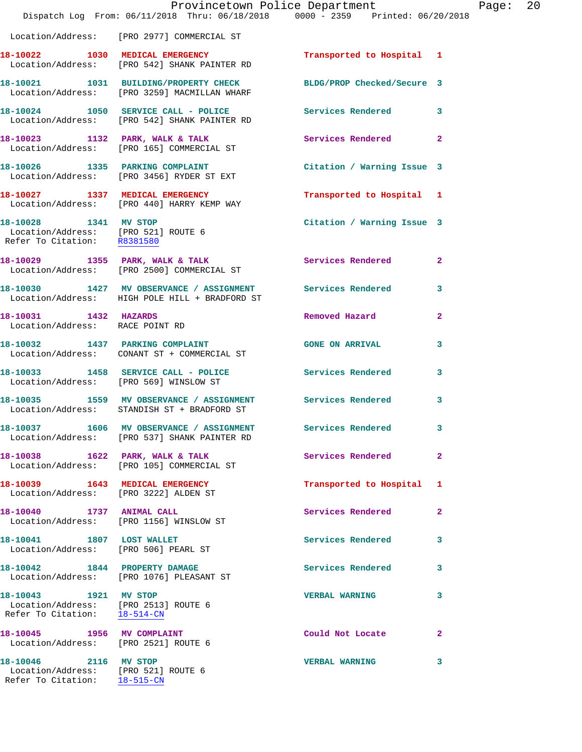|                                                                                               | Dispatch Log From: 06/11/2018 Thru: 06/18/2018 0000 - 2359 Printed: 06/20/2018                                   | Provincetown Police Department |                | Page: 20 |  |
|-----------------------------------------------------------------------------------------------|------------------------------------------------------------------------------------------------------------------|--------------------------------|----------------|----------|--|
|                                                                                               | Location/Address: [PRO 2977] COMMERCIAL ST                                                                       |                                |                |          |  |
|                                                                                               | 18-10022 1030 MEDICAL EMERGENCY<br>Location/Address: [PRO 542] SHANK PAINTER RD                                  | Transported to Hospital 1      |                |          |  |
|                                                                                               | 18-10021 1031 BUILDING/PROPERTY CHECK BLDG/PROP Checked/Secure 3<br>Location/Address: [PRO 3259] MACMILLAN WHARF |                                |                |          |  |
|                                                                                               | 18-10024 1050 SERVICE CALL - POLICE Services Rendered 3<br>Location/Address: [PRO 542] SHANK PAINTER RD          |                                |                |          |  |
|                                                                                               | 18-10023 1132 PARK, WALK & TALK<br>Location/Address: [PRO 165] COMMERCIAL ST                                     | Services Rendered 2            |                |          |  |
|                                                                                               | 18-10026 1335 PARKING COMPLAINT<br>Location/Address: [PRO 3456] RYDER ST EXT                                     | Citation / Warning Issue 3     |                |          |  |
|                                                                                               | 18-10027 1337 MEDICAL EMERGENCY<br>Location/Address: [PRO 440] HARRY KEMP WAY                                    | Transported to Hospital 1      |                |          |  |
| 18-10028 1341 MV STOP<br>Location/Address: [PRO 521] ROUTE 6<br>Refer To Citation: R8381580   |                                                                                                                  | Citation / Warning Issue 3     |                |          |  |
|                                                                                               | 18-10029 1355 PARK, WALK & TALK<br>Location/Address: [PRO 2500] COMMERCIAL ST                                    | <b>Services Rendered</b>       | $\overline{2}$ |          |  |
|                                                                                               | 18-10030 1427 MV OBSERVANCE / ASSIGNMENT Services Rendered 3<br>Location/Address: HIGH POLE HILL + BRADFORD ST   |                                |                |          |  |
| 18-10031 1432 HAZARDS<br>Location/Address: RACE POINT RD                                      |                                                                                                                  | Removed Hazard                 | $\mathbf{2}$   |          |  |
|                                                                                               | 18-10032 1437 PARKING COMPLAINT<br>Location/Address: CONANT ST + COMMERCIAL ST                                   | <b>GONE ON ARRIVAL</b>         | $\mathbf{3}$   |          |  |
|                                                                                               | 18-10033 1458 SERVICE CALL - POLICE Services Rendered<br>Location/Address: [PRO 569] WINSLOW ST                  |                                | 3              |          |  |
|                                                                                               | 18-10035 1559 MV OBSERVANCE / ASSIGNMENT Services Rendered 3<br>Location/Address: STANDISH ST + BRADFORD ST      |                                |                |          |  |
|                                                                                               | 18-10037 1606 MV OBSERVANCE / ASSIGNMENT<br>Location/Address: [PRO 537] SHANK PAINTER RD                         | Services Rendered 3            |                |          |  |
|                                                                                               | 18-10038 1622 PARK, WALK & TALK<br>Location/Address: [PRO 105] COMMERCIAL ST                                     | Services Rendered              | $\mathbf{2}$   |          |  |
| Location/Address: [PRO 3222] ALDEN ST                                                         | 18-10039 1643 MEDICAL EMERGENCY                                                                                  | Transported to Hospital 1      |                |          |  |
|                                                                                               | 18-10040 1737 ANIMAL CALL<br>Location/Address: [PRO 1156] WINSLOW ST                                             | <b>Services Rendered</b>       | 2              |          |  |
| 18-10041 1807 LOST WALLET                                                                     | Location/Address: [PRO 506] PEARL ST                                                                             | Services Rendered              | 3              |          |  |
|                                                                                               | 18-10042 1844 PROPERTY DAMAGE<br>Location/Address: [PRO 1076] PLEASANT ST                                        | Services Rendered 3            |                |          |  |
| 18-10043 1921 MV STOP<br>Location/Address: [PRO 2513] ROUTE 6<br>Refer To Citation: 18-514-CN |                                                                                                                  | <b>VERBAL WARNING</b>          | 3              |          |  |
| 18-10045 1956 MV COMPLAINT<br>Location/Address: [PRO 2521] ROUTE 6                            |                                                                                                                  | Could Not Locate               | $\mathbf{2}$   |          |  |
| 18-10046 2116 MV STOP<br>Location/Address: [PRO 521] ROUTE 6<br>Refer To Citation: 18-515-CN  |                                                                                                                  | <b>VERBAL WARNING</b>          | 3              |          |  |